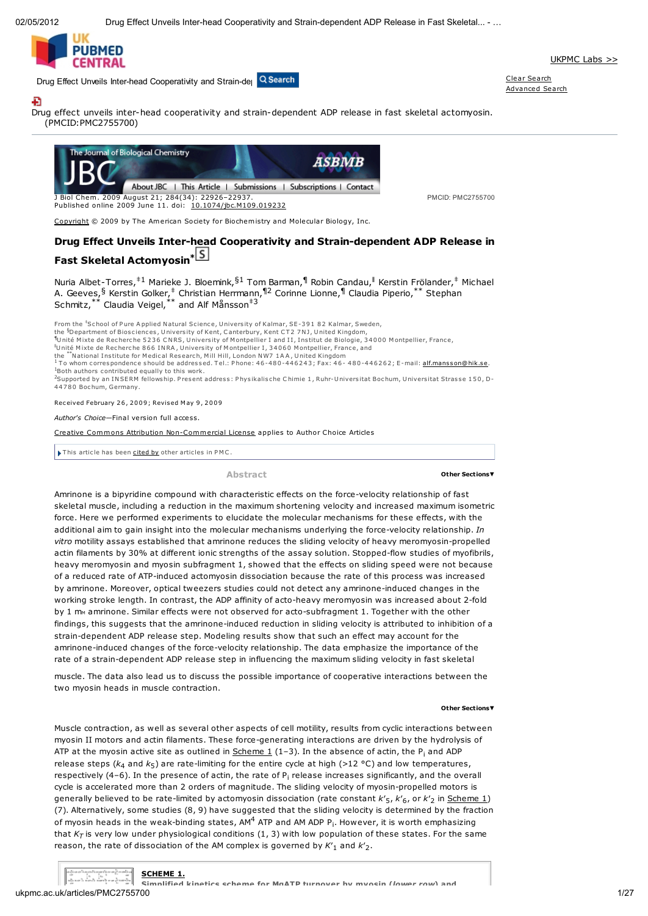

Drug Effect Unveils Inter-head Cooperativity and Strain-dependent Alexandr

UKPMC Labs >>

Clear Search Advanced Search

### Ð

Drug effect unveils inter-head cooperativity and strain-dependent ADP release in fast skeletal actomyosin. (PMCID:PMC2755700)



Copyright © 2009 by The American Society for Biochemistry and Molecular Biology, Inc.

PMCID: PMC2755700

### Drug Effect Unveils Inter-head Cooperativity and Strain-dependent ADP Release in Fast Skeletal Actomyosin \*

Nuria Albet-Torres,<sup>‡1</sup> Marieke J. Bloemink,<sup>§1</sup> Tom Barman,¶ Robin Candau, Kerstin Frölander,<sup>‡</sup> Michael A. Geeves,<sup>§</sup> Kerstin Golker,<sup>‡</sup> Christian Herrmann,<sup>¶2</sup> Corinne Lionne,¶ Claudia Piperio,\*\* Stephan Schmitz, $^{**}$  Claudia Veigel, $^{**}$  and Alf Månsson $^{\ddagger 3}$ 

From the <sup>‡</sup>School of Pure Applied Natural Science, University of Kalmar, SE-391 82 Kalmar, Sweden,

the <sup>§</sup>Department of Biosciences, University of Kent, Canterbury, Kent CT2 7NJ, United Kingdom,

¶U nité M ixte de Recherche 5236 C NRS, U nivers ity of M ontpellier I and I I , Ins titut de Biologie, 34000 M ontpellier, France, Mixte de Recherche 866 INRA, University of Montpellier I, 34060 Montpellier, France, and

the \*\*National Institute for Medical Research, Mill Hill, London NW7 1AA, United Kingdom<br><sup>1</sup> To whom correspondence should be addressed. Tel.: Phone: 46-480-446243; Fax: 46- 480-446262; E-mail: <u>alf.mansson@hik.se</u>. <sup>1</sup>Both authors contributed equally to this work.

.<br><sup>2</sup>Supported by an INSERM fellowship. Present address: Physikalische Chimie 1, Ruhr-Universitat Bochum, Universitat Strasse 150, D-44780 Bochum, Germany.

Received February 26, 2009; Revised May 9, 2009

Author's Choice—Final version full access.

Creative Commons Attribution Non-Commercial License applies to Author Choice Articles

This article has been cited by other articles in PMC.

### Abstract

Other Sections▼

Amrinone is a bipyridine compound with characteristic effects on the force-velocity relationship of fast skeletal muscle, including a reduction in the maximum shortening velocity and increased maximum isometric force. Here we performed experiments to elucidate the molecular mechanisms for these effects, with the additional aim to gain insight into the molecular mechanisms underlying the force-velocity relationship. In vitro motility assays established that amrinone reduces the sliding velocity of heavy meromyosin-propelled actin filaments by 30% at different ionic strengths of the assay solution. Stopped-flow studies of myofibrils, heavy meromyosin and myosin subfragment 1, showed that the effects on sliding speed were not because of a reduced rate of ATP-induced actomyosin dissociation because the rate of this process was increased by amrinone. Moreover, optical tweezers studies could not detect any amrinone-induced changes in the working stroke length. In contrast, the ADP affinity of acto-heavy meromyosin was increased about 2-fold by 1 m<sub>M</sub> amrinone. Similar effects were not observed for acto-subfragment 1. Together with the other findings, this suggests that the amrinone-induced reduction in sliding velocity is attributed to inhibition of a strain-dependent ADP release step. Modeling results show that such an effect may account for the amrinone-induced changes of the force-velocity relationship. The data emphasize the importance of the rate of a strain-dependent ADP release step in influencing the maximum sliding velocity in fast skeletal

muscle. The data also lead us to discuss the possible importance of cooperative interactions between the two myosin heads in muscle contraction.

#### Other Sections▼

Muscle contraction, as well as several other aspects of cell motility, results from cyclic interactions between myosin II motors and actin filaments. These force-generating interactions are driven by the hydrolysis of ATP at the myosin active site as outlined in  $Scheme 1$  (1-3). In the absence of actin, the P<sub>i</sub> and ADP release steps ( $k_4$  and  $k_5$ ) are rate-limiting for the entire cycle at high (>12 °C) and low temperatures, respectively (4–6). In the presence of actin, the rate of  $P_i$  release increases significantly, and the overall cycle is accelerated more than 2 orders of magnitude. The sliding velocity of myosin-propelled motors is generally believed to be rate-limited by actomyosin dissociation (rate constant  $k'_{5}$ ,  $k'_{6}$ , or  $k'_{2}$  in Scheme 1) (7). Alternatively, some studies (8, 9) have suggested that the sliding velocity is determined by the fraction of myosin heads in the weak-binding states, AM<sup>4</sup> ATP and AM ADP P<sub>i</sub>. However, it is worth emphasizing that  $K_T$  is very low under physiological conditions (1, 3) with low population of these states. For the same reason, the rate of dissociation of the AM complex is governed by  $K'_{1}$  and  $K'_{2}$ .



ukpmc.ac.uk/articles/PMC2755700 1/27 Simplified kinetics scheme for MaATD turnover by myosin (lower row) and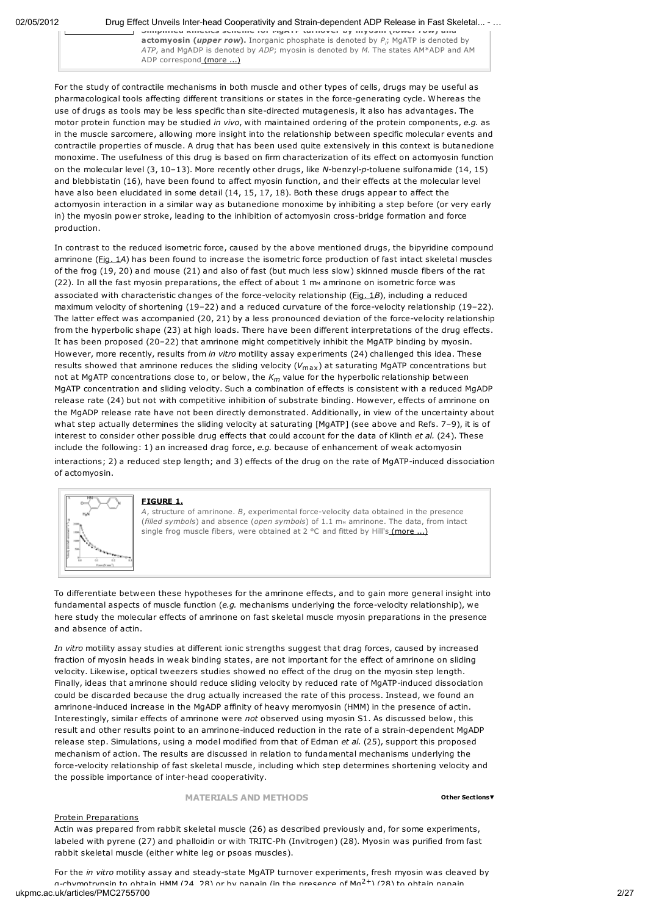Simplified kinetics scheme for MgATP turnover by myosin (lower row) and actomyosin (upper row). Inorganic phosphate is denoted by  $P_i$ ; MgATP is denoted by ATP, and MgADP is denoted by ADP; myosin is denoted by M. The states AM\*ADP and AM ADP correspond (more ...)

For the study of contractile mechanisms in both muscle and other types of cells, drugs may be useful as pharmacological tools affecting different transitions or states in the force-generating cycle. Whereas the use of drugs as tools may be less specific than site-directed mutagenesis, it also has advantages. The motor protein function may be studied in vivo, with maintained ordering of the protein components, e.g. as in the muscle sarcomere, allowing more insight into the relationship between specific molecular events and contractile properties of muscle. A drug that has been used quite extensively in this context is butanedione monoxime. The usefulness of this drug is based on firm characterization of its effect on actomyosin function on the molecular level (3, 10–13). More recently other drugs, like N-benzyl-p-toluene sulfonamide (14, 15) and blebbistatin (16), have been found to affect myosin function, and their effects at the molecular level have also been elucidated in some detail (14, 15, 17, 18). Both these drugs appear to affect the actomyosin interaction in a similar way as butanedione monoxime by inhibiting a step before (or very early in) the myosin power stroke, leading to the inhibition of actomyosin cross-bridge formation and force production.

In contrast to the reduced isometric force, caused by the above mentioned drugs, the bipyridine compound amrinone (Fig. 1A) has been found to increase the isometric force production of fast intact skeletal muscles of the frog (19, 20) and mouse (21) and also of fast (but much less slow) skinned muscle fibers of the rat (22). In all the fast myosin preparations, the effect of about 1  $m<sub>M</sub>$  amrinone on isometric force was associated with characteristic changes of the force-velocity relationship (Fig. 1B), including a reduced maximum velocity of shortening (19–22) and a reduced curvature of the force-velocity relationship (19–22). The latter effect was accompanied (20, 21) by a less pronounced deviation of the force-velocity relationship from the hyperbolic shape (23) at high loads. There have been different interpretations of the drug effects. It has been proposed (20–22) that amrinone might competitively inhibit the MgATP binding by myosin. However, more recently, results from in vitro motility assay experiments (24) challenged this idea. These results showed that amrinone reduces the sliding velocity ( $V_{\sf max}$ ) at saturating MgATP concentrations but not at MgATP concentrations close to, or below, the  $K_m$  value for the hyperbolic relationship between MgATP concentration and sliding velocity. Such a combination of effects is consistent with a reduced MgADP release rate (24) but not with competitive inhibition of substrate binding. However, effects of amrinone on the MgADP release rate have not been directly demonstrated. Additionally, in view of the uncertainty about what step actually determines the sliding velocity at saturating [MgATP] (see above and Refs. 7–9), it is of interest to consider other possible drug effects that could account for the data of Klinth et al. (24). These include the following: 1) an increased drag force, e.g. because of enhancement of weak actomyosin interactions; 2) a reduced step length; and 3) effects of the drug on the rate of MgATP-induced dissociation of actomyosin.



#### FIGURE 1.

A, structure of amrinone. B, experimental force-velocity data obtained in the presence (filled symbols) and absence (open symbols) of  $1.1 \text{ m}$  amrinone. The data, from intact single frog muscle fibers, were obtained at 2 °C and fitted by Hill's (more ...)

To differentiate between these hypotheses for the amrinone effects, and to gain more general insight into fundamental aspects of muscle function (e.g. mechanisms underlying the force-velocity relationship), we here study the molecular effects of amrinone on fast skeletal muscle myosin preparations in the presence and absence of actin.

In vitro motility assay studies at different ionic strengths suggest that drag forces, caused by increased fraction of myosin heads in weak binding states, are not important for the effect of amrinone on sliding velocity. Likewise, optical tweezers studies showed no effect of the drug on the myosin step length. Finally, ideas that amrinone should reduce sliding velocity by reduced rate of MgATP-induced dissociation could be discarded because the drug actually increased the rate of this process. Instead, we found an amrinone-induced increase in the MgADP affinity of heavy meromyosin (HMM) in the presence of actin. Interestingly, similar effects of amrinone were not observed using myosin S1. As discussed below, this result and other results point to an amrinone-induced reduction in the rate of a strain-dependent MgADP release step. Simulations, using a model modified from that of Edman et al. (25), support this proposed mechanism of action. The results are discussed in relation to fundamental mechanisms underlying the force-velocity relationship of fast skeletal muscle, including which step determines shortening velocity and the possible importance of inter-head cooperativity.

#### MATERIALS AND METHODS

Other Sections▼

### Protein Preparations

Actin was prepared from rabbit skeletal muscle (26) as described previously and, for some experiments, labeled with pyrene (27) and phalloidin or with TRITC-Ph (Invitrogen) (28). Myosin was purified from fast rabbit skeletal muscle (either white leg or psoas muscles).

ukpmc.ac.uk/articles/PMC2755700 2/27 For the in vitro motility assay and steady-state MgATP turnover experiments, fresh myosin was cleaved by a-chymotrynein to obtain HMM (24–28) or by papain (in the presence of Ma<sup>2+</sup>) (28) to obtain papain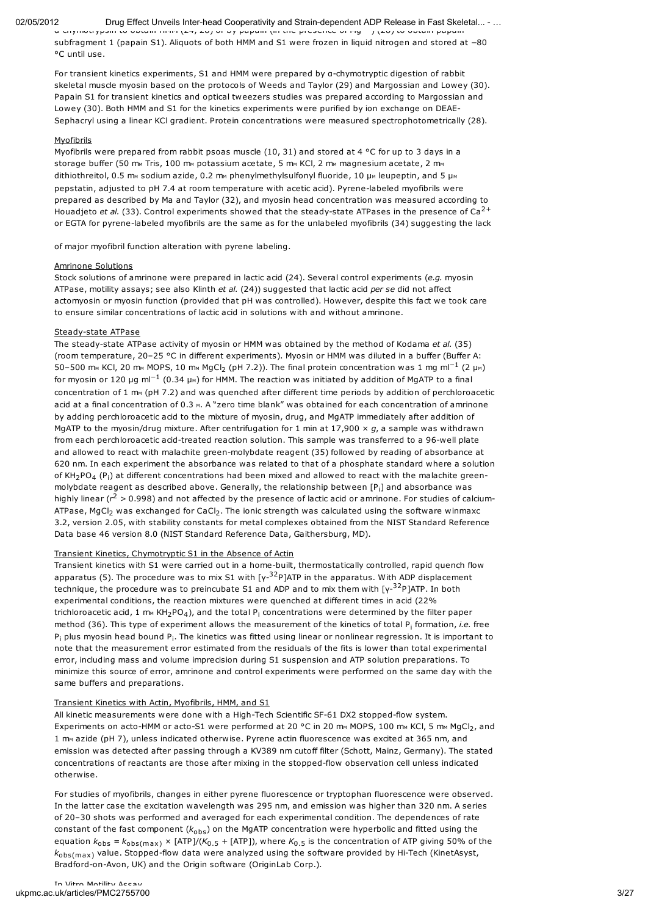- αποτελεία - στο συναιστικό που που του συγκριματική από συμπερισμένονται σε το συναιστικό προστατικό που συν<br>α-chymotrypsin to obtain mini (4-7, 28) or by papain (in the presence or Mg - ) (28) to obtain papain subfragment 1 (papain S1). Aliquots of both HMM and S1 were frozen in liquid nitrogen and stored at −80 °C until use.

For transient kinetics experiments, S1 and HMM were prepared by α-chymotryptic digestion of rabbit skeletal muscle myosin based on the protocols of Weeds and Taylor (29) and Margossian and Lowey (30). Papain S1 for transient kinetics and optical tweezers studies was prepared according to Margossian and Lowey (30). Both HMM and S1 for the kinetics experiments were purified by ion exchange on DEAE-Sephacryl using a linear KCl gradient. Protein concentrations were measured spectrophotometrically (28).

### Myofibrils

Myofibrils were prepared from rabbit psoas muscle (10, 31) and stored at 4 °C for up to 3 days in a storage buffer (50 mm Tris, 100 mm potassium acetate, 5 mm KCl, 2 mm magnesium acetate, 2 mm dithiothreitol, 0.5 mm sodium azide, 0.2 mm phenylmethylsulfonyl fluoride, 10 μm leupeptin, and 5 μm pepstatin, adjusted to pH 7.4 at room temperature with acetic acid). Pyrene-labeled myofibrils were prepared as described by Ma and Taylor (32), and myosin head concentration was measured according to Houadjeto et al. (33). Control experiments showed that the steady-state ATPases in the presence of Ca<sup>2+</sup> or EGTA for pyrene-labeled myofibrils are the same as for the unlabeled myofibrils (34) suggesting the lack

of major myofibril function alteration with pyrene labeling.

#### Amrinone Solutions

Stock solutions of amrinone were prepared in lactic acid (24). Several control experiments (e.g. myosin ATPase, motility assays; see also Klinth et al. (24)) suggested that lactic acid per se did not affect actomyosin or myosin function (provided that pH was controlled). However, despite this fact we took care to ensure similar concentrations of lactic acid in solutions with and without amrinone.

### Steady-state ATPase

The steady-state ATPase activity of myosin or HMM was obtained by the method of Kodama et al. (35) (room temperature, 20–25 °C in different experiments). Myosin or HMM was diluted in a buffer (Buffer A: 50–500 mm KCl, 20 mm MOPS, 10 mm MgCl<sub>2</sub> (pH 7.2)). The final protein concentration was 1 mg ml<sup>−1</sup> (2 µm) for myosin or 120 μg ml $^{-1}$  (0.34 μm) for HMM. The reaction was initiated by addition of MgATP to a final concentration of 1 m<sub>M</sub> (pH 7.2) and was quenched after different time periods by addition of perchloroacetic acid at a final concentration of 0.3 M. A "zero time blank" was obtained for each concentration of amrinone by adding perchloroacetic acid to the mixture of myosin, drug, and MgATP immediately after addition of MgATP to the myosin/drug mixture. After centrifugation for 1 min at 17,900  $\times g$ , a sample was withdrawn from each perchloroacetic acid-treated reaction solution. This sample was transferred to a 96-well plate and allowed to react with malachite green-molybdate reagent (35) followed by reading of absorbance at 620 nm. In each experiment the absorbance was related to that of a phosphate standard where a solution of KH<sub>2</sub>PO<sub>4</sub> (P<sub>i</sub>) at different concentrations had been mixed and allowed to react with the malachite greenmolybdate reagent as described above. Generally, the relationship between  $[P_i]$  and absorbance was highly linear ( $r^2 > 0.998$ ) and not affected by the presence of lactic acid or amrinone. For studies of calcium-ATPase, MgCl<sub>2</sub> was exchanged for CaCl<sub>2</sub>. The ionic strength was calculated using the software winmaxc 3.2, version 2.05, with stability constants for metal complexes obtained from the NIST Standard Reference Data base 46 version 8.0 (NIST Standard Reference Data, Gaithersburg, MD).

#### Transient Kinetics, Chymotryptic S1 in the Absence of Actin

Transient kinetics with S1 were carried out in a home-built, thermostatically controlled, rapid quench flow apparatus (5). The procedure was to mix S1 with  $[v^{-32}P]$ ATP in the apparatus. With ADP displacement technique, the procedure was to preincubate S1 and ADP and to mix them with  $[\gamma^{-32}P]$ ATP. In both experimental conditions, the reaction mixtures were quenched at different times in acid (22% trichloroacetic acid, 1 m<sub>M</sub> KH<sub>2</sub>PO<sub>4</sub>), and the total P<sub>i</sub> concentrations were determined by the filter paper method (36). This type of experiment allows the measurement of the kinetics of total  $P_i$  formation, i.e. free  $P_i$  plus myosin head bound  $P_i$ . The kinetics was fitted using linear or nonlinear regression. It is important to note that the measurement error estimated from the residuals of the fits is lower than total experimental error, including mass and volume imprecision during S1 suspension and ATP solution preparations. To minimize this source of error, amrinone and control experiments were performed on the same day with the same buffers and preparations.

#### Transient Kinetics with Actin, Myofibrils, HMM, and S1

All kinetic measurements were done with a High-Tech Scientific SF-61 DX2 stopped-flow system. Experiments on acto-HMM or acto-S1 were performed at 20 °C in 20 mM MOPS, 100 mM KCl, 5 mM MgCl<sub>2</sub>, and 1 m<sub>M</sub> azide (pH 7), unless indicated otherwise. Pyrene actin fluorescence was excited at 365 nm, and emission was detected after passing through a KV389 nm cutoff filter (Schott, Mainz, Germany). The stated concentrations of reactants are those after mixing in the stopped-flow observation cell unless indicated otherwise.

For studies of myofibrils, changes in either pyrene fluorescence or tryptophan fluorescence were observed. In the latter case the excitation wavelength was 295 nm, and emission was higher than 320 nm. A series of 20–30 shots was performed and averaged for each experimental condition. The dependences of rate constant of the fast component ( $k_{obs}$ ) on the MgATP concentration were hyperbolic and fitted using the equation  $k_{obs} = k_{obs(max)} \times [ATP]/(K_{0.5} + [ATP])$ , where  $K_{0.5}$  is the concentration of ATP giving 50% of the  $k_{\text{obs(max)}}$  value. Stopped-flow data were analyzed using the software provided by Hi-Tech (KinetAsyst, Bradford-on-Avon, UK) and the Origin software (OriginLab Corp.).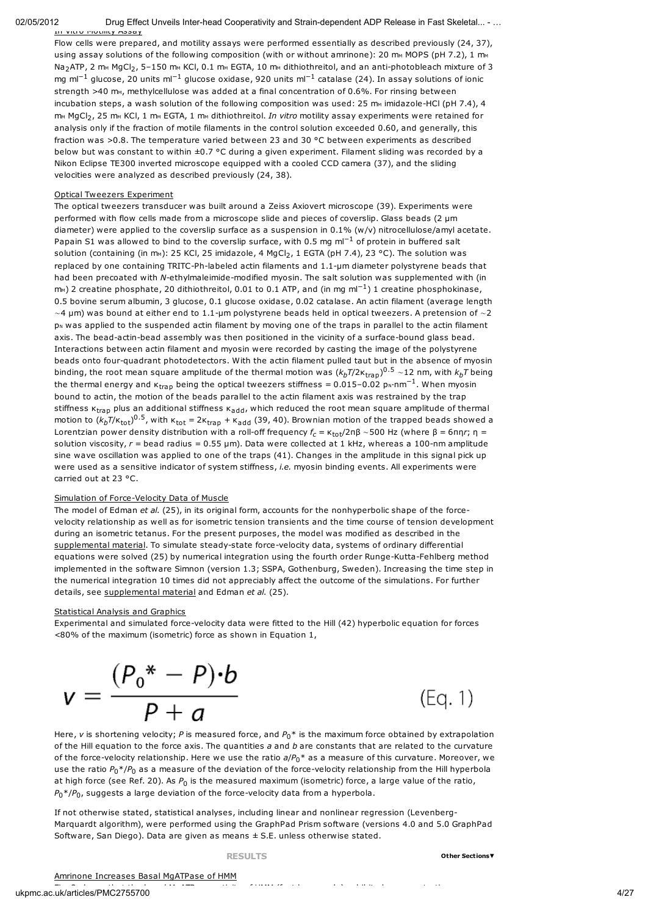Flow cells were prepared, and motility assays were performed essentially as described previously (24, 37), using assay solutions of the following composition (with or without amrinone): 20 mM MOPS (pH 7.2), 1 mM Na<sub>2</sub>ATP, 2 m<sub>M</sub> MgCl<sub>2</sub>, 5–150 m<sub>M</sub> KCl, 0.1 m<sub>M</sub> EGTA, 10 m<sub>M</sub> dithiothreitol, and an anti-photobleach mixture of 3 mg ml<sup>−1</sup> glucose, 20 units ml<sup>−1</sup> glucose oxidase, 920 units ml<sup>−1</sup> catalase (24). In assay solutions of ionic strength >40  $\text{m}_\text{M}$ , methylcellulose was added at a final concentration of 0.6%. For rinsing between incubation steps, a wash solution of the following composition was used: 25 mm imidazole-HCl (pH 7.4), 4 mM MgCl<sub>2</sub>, 25 mM KCl, 1 mM EGTA, 1 mM dithiothreitol. In vitro motility assay experiments were retained for analysis only if the fraction of motile filaments in the control solution exceeded 0.60, and generally, this fraction was >0.8. The temperature varied between 23 and 30 °C between experiments as described below but was constant to within ±0.7 °C during a given experiment. Filament sliding was recorded by a Nikon Eclipse TE300 inverted microscope equipped with a cooled CCD camera (37), and the sliding velocities were analyzed as described previously (24, 38).

#### Optical Tweezers Experiment

The optical tweezers transducer was built around a Zeiss Axiovert microscope (39). Experiments were performed with flow cells made from a microscope slide and pieces of coverslip. Glass beads (2 μm diameter) were applied to the coverslip surface as a suspension in 0.1% (w/v) nitrocellulose/amyl acetate. Papain S1 was allowed to bind to the coverslip surface, with 0.5 mg ml<sup>-1</sup> of protein in buffered salt solution (containing (in m<sub>M</sub>): 25 KCl, 25 imidazole, 4 MgCl<sub>2</sub>, 1 EGTA (pH 7.4), 23 °C). The solution was replaced by one containing TRITC-Ph-labeled actin filaments and 1.1-μm diameter polystyrene beads that had been precoated with N-ethylmaleimide-modified myosin. The salt solution was supplemented with (in m<sub>M</sub>) 2 creatine phosphate, 20 dithiothreitol, 0.01 to 0.1 ATP, and (in mg ml<sup>−1</sup>) 1 creatine phosphokinase, 0.5 bovine serum albumin, 3 glucose, 0.1 glucose oxidase, 0.02 catalase. An actin filament (average length ∼4 μm) was bound at either end to 1.1-μm polystyrene beads held in optical tweezers. A pretension of ∼2 p<sub>N</sub> was applied to the suspended actin filament by moving one of the traps in parallel to the actin filament axis. The bead-actin-bead assembly was then positioned in the vicinity of a surface-bound glass bead. Interactions between actin filament and myosin were recorded by casting the image of the polystyrene beads onto four-quadrant photodetectors. With the actin filament pulled taut but in the absence of myosin binding, the root mean square amplitude of the thermal motion was  $(k_bT/2\kappa_{\rm trap})^{0.5} \sim 12$  nm, with  $k_bT$  being the thermal energy and  $\kappa_{\rm trap}$  being the optical tweezers stiffness = 0.015–0.02 p<sub>^</sub>·nm<sup>−1</sup>. When myosin bound to actin, the motion of the beads parallel to the actin filament axis was restrained by the trap stiffness κ<sub>trap</sub> plus an additional stiffness κ<sub>add</sub>, which reduced the root mean square amplitude of thermal motion to ( $k_b$ T/K $_{\rm tot}$ ) $^{0.5}$ , with k $_{\rm tot}$  = 2 $_{\rm K_{trap}}$  + K $_{\rm add}$  (39, 40). Brownian motion of the trapped beads showed a Lorentzian power density distribution with a roll-off frequency  $f_c = \kappa_{\text{tot}}/2$ πβ ~500 Hz (where β = 6πη*r*; η = solution viscosity,  $r =$  bead radius = 0.55 µm). Data were collected at 1 kHz, whereas a 100-nm amplitude sine wave oscillation was applied to one of the traps (41). Changes in the amplitude in this signal pick up were used as a sensitive indicator of system stiffness, i.e. myosin binding events. All experiments were carried out at 23 °C.

### Simulation of Force-Velocity Data of Muscle

The model of Edman et al. (25), in its original form, accounts for the nonhyperbolic shape of the forcevelocity relationship as well as for isometric tension transients and the time course of tension development during an isometric tetanus. For the present purposes, the model was modified as described in the supplemental material. To simulate steady-state force-velocity data, systems of ordinary differential equations were solved (25) by numerical integration using the fourth order Runge-Kutta-Fehlberg method implemented in the software Simnon (version 1.3; SSPA, Gothenburg, Sweden). Increasing the time step in the numerical integration 10 times did not appreciably affect the outcome of the simulations. For further details, see supplemental material and Edman et al. (25).

#### Statistical Analysis and Graphics

Experimental and simulated force-velocity data were fitted to the Hill (42) hyperbolic equation for forces <80% of the maximum (isometric) force as shown in Equation 1,

$$
v = \frac{(P_0^* - P) \cdot b}{P + a}
$$



Here, v is shortening velocity; P is measured force, and  $P_0^*$  is the maximum force obtained by extrapolation of the Hill equation to the force axis. The quantities  $a$  and  $b$  are constants that are related to the curvature of the force-velocity relationship. Here we use the ratio  $a/P_0^*$  as a measure of this curvature. Moreover, we use the ratio  $P_0^*/P_0$  as a measure of the deviation of the force-velocity relationship from the Hill hyperbola at high force (see Ref. 20). As  $P_0$  is the measured maximum (isometric) force, a large value of the ratio,  $P_0^*/P_0$ , suggests a large deviation of the force-velocity data from a hyperbola.

If not otherwise stated, statistical analyses, including linear and nonlinear regression (Levenberg-Marquardt algorithm), were performed using the GraphPad Prism software (versions 4.0 and 5.0 GraphPad Software, San Diego). Data are given as means ± S.E. unless otherwise stated.

#### **RESULTS**

Other Sections▼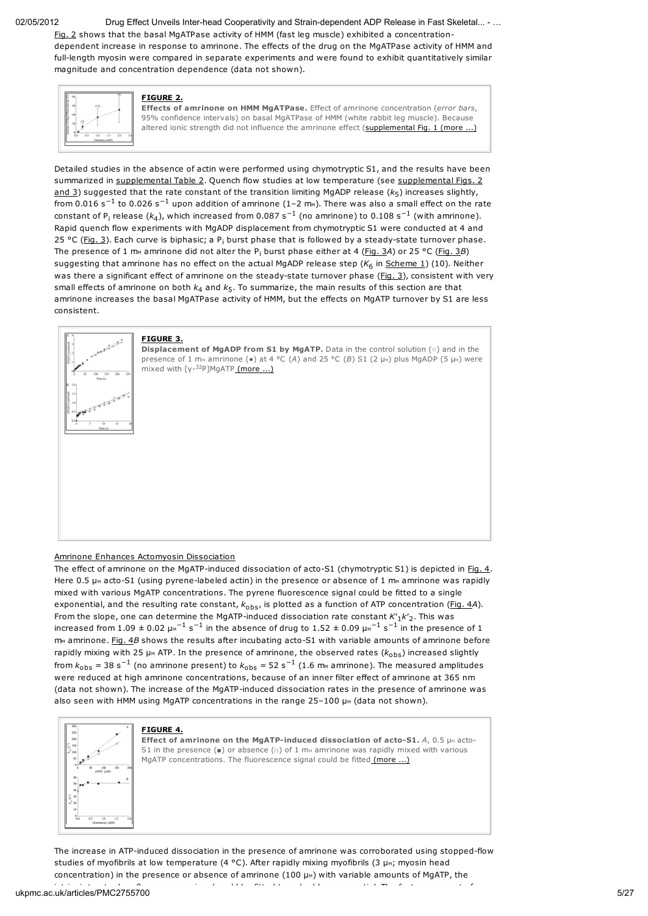Fig. 2 shows that the basal MgATPase activity of HMM (fast leg muscle) exhibited a concentrationdependent increase in response to amrinone. The effects of the drug on the MgATPase activity of HMM and full-length myosin were compared in separate experiments and were found to exhibit quantitatively similar magnitude and concentration dependence (data not shown).



#### FIGURE 2.

**Effects of amrinone on HMM MgATPase.** Effect of amrinone concentration (error bars, 95% confidence intervals) on basal MgATPase of HMM (white rabbit leg muscle). Because altered ionic strength did not influence the amrinone effect (supplemental Fig. 1 (more ...)

Detailed studies in the absence of actin were performed using chymotryptic S1, and the results have been summarized in supplemental Table 2. Quench flow studies at low temperature (see supplemental Figs. 2 and 3) suggested that the rate constant of the transition limiting MgADP release ( $k_5$ ) increases slightly, from 0.016 s $^{-1}$  to 0.026 s $^{-1}$  upon addition of amrinone (1–2 m<sub>M</sub>). There was also a small effect on the rate constant of P<sub>i</sub> release (k<sub>4</sub>), which increased from 0.087 s<sup>−1</sup> (no amrinone) to 0.108 s<sup>−1</sup> (with amrinone). Rapid quench flow experiments with MgADP displacement from chymotryptic S1 were conducted at 4 and 25 °C (Fig. 3). Each curve is biphasic; a P<sub>i</sub> burst phase that is followed by a steady-state turnover phase. The presence of 1 m<sub>M</sub> amrinone did not alter the P<sub>i</sub> burst phase either at 4 (Fig. 3A) or 25 °C (Fig. 3B) suggesting that amrinone has no effect on the actual MgADP release step ( $K_6$  in Scheme 1) (10). Neither was there a significant effect of amrinone on the steady-state turnover phase (Fig. 3), consistent with very small effects of amrinone on both  $k_4$  and  $k_5$ . To summarize, the main results of this section are that amrinone increases the basal MgATPase activity of HMM, but the effects on MgATP turnover by S1 are less consistent.



#### FIGURE 3.

Displacement of MgADP from S1 by MgATP. Data in the control solution (○) and in the presence of 1 mm amrinone (•) at 4 °C (A) and 25 °C (B) S1 (2  $\mu$ m) plus MgADP (5  $\mu$ m) were mixed with [γ-<sup>32</sup>P]MgATP (more ...)

#### Amrinone Enhances Actomyosin Dissociation

The effect of amrinone on the MgATP-induced dissociation of acto-S1 (chymotryptic S1) is depicted in Fig. 4. Here 0.5  $\mu$ <sub>M</sub> acto-S1 (using pyrene-labeled actin) in the presence or absence of 1 m<sub>M</sub> amrinone was rapidly mixed with various MgATP concentrations. The pyrene fluorescence signal could be fitted to a single exponential, and the resulting rate constant,  $k_{\rm obs}$ , is plotted as a function of ATP concentration (<u>Fig. 4</u>A). From the slope, one can determine the MgATP-induced dissociation rate constant  $K'_{1}k'_{2}$ . This was increased from 1.09  $\pm$  0.02  $\mu$ m $^{-1}$  s $^{-1}$  in the absence of drug to 1.52  $\pm$  0.09  $\mu$ m $^{-1}$  s $^{-1}$  in the presence of 1 m<sub>M</sub> amrinone. Fig. 4B shows the results after incubating acto-S1 with variable amounts of amrinone before rapidly mixing with 25  $\mu$ M ATP. In the presence of amrinone, the observed rates ( $k_{\text{obs}}$ ) increased slightly from  $k_{\rm obs}$  = 38 s $^{-1}$  (no amrinone present) to  $k_{\rm obs}$  = 52 s $^{-1}$  (1.6 mm amrinone). The measured amplitudes were reduced at high amrinone concentrations, because of an inner filter effect of amrinone at 365 nm (data not shown). The increase of the MgATP-induced dissociation rates in the presence of amrinone was also seen with HMM using MgATP concentrations in the range  $25-100 \mu$ M (data not shown).



#### FIGURE 4.

Effect of amrinone on the MgATP-induced dissociation of acto-S1.  $A$ , 0.5  $\mu$ M acto-S1 in the presence ( $\blacksquare$ ) or absence ( $\Box$ ) of 1 m<sub>M</sub> amrinone was rapidly mixed with various MgATP concentrations. The fluorescence signal could be fitted (more ...)

The increase in ATP-induced dissociation in the presence of amrinone was corroborated using stopped-flow studies of myofibrils at low temperature (4 °C). After rapidly mixing myofibrils (3 μm; myosin head concentration) in the presence or absence of amrinone (100  $\mu$ M) with variable amounts of MgATP, the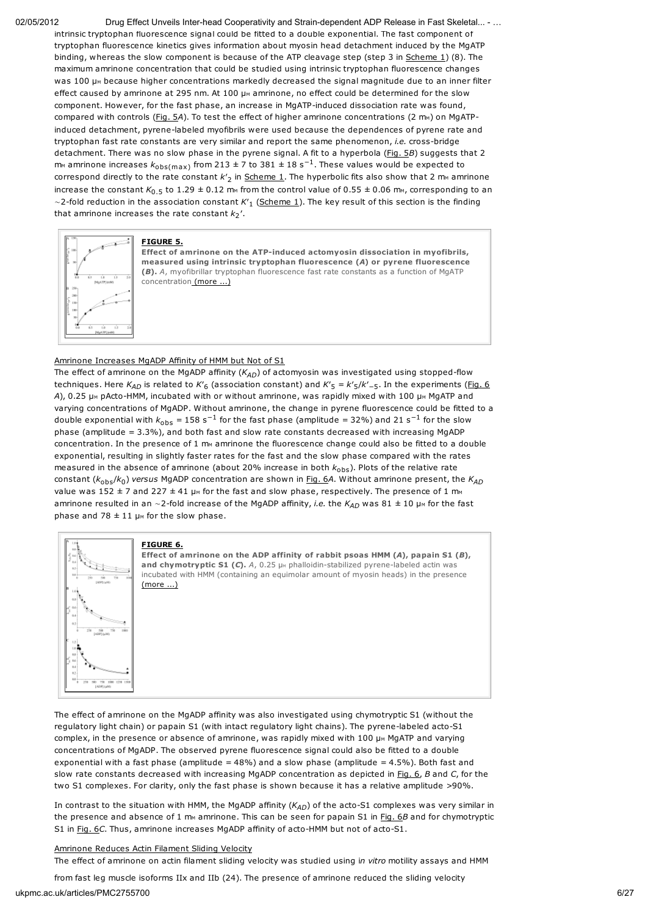02/05/2012 Drug Effect Unveils Inter-head Cooperativity and Strain-dependent ADP Release in Fast Skeletal... - ... intrinsic tryptophan fluorescence signal could be fitted to a double exponential. The fast component of tryptophan fluorescence kinetics gives information about myosin head detachment induced by the MgATP binding, whereas the slow component is because of the ATP cleavage step (step 3 in Scheme 1) (8). The maximum amrinone concentration that could be studied using intrinsic tryptophan fluorescence changes was 100 μm because higher concentrations markedly decreased the signal magnitude due to an inner filter effect caused by amrinone at 295 nm. At 100 μ<sub>M</sub> amrinone, no effect could be determined for the slow component. However, for the fast phase, an increase in MgATP-induced dissociation rate was found, compared with controls (Fig. 5A). To test the effect of higher amrinone concentrations (2 mm) on MgATPinduced detachment, pyrene-labeled myofibrils were used because the dependences of pyrene rate and tryptophan fast rate constants are very similar and report the same phenomenon, i.e. cross-bridge detachment. There was no slow phase in the pyrene signal. A fit to a hyperbola (Fig. 5B) suggests that 2 m<sub>M</sub> amrinone increases  $k_{\sf obs(max)}$  from 213 ± 7 to 381 ± 18 s<sup>−1</sup>. These values would be expected to correspond directly to the rate constant  $k_2$  in Scheme 1. The hyperbolic fits also show that 2 m<sub>M</sub> amrinone increase the constant  $K_{0.5}$  to 1.29  $\pm$  0.12 mm from the control value of 0.55  $\pm$  0.06 mm, corresponding to an ∼2-fold reduction in the association constant K'<sub>1</sub> (Scheme 1). The key result of this section is the finding that amrinone increases the rate constant  $k_2'$ .



#### FIGURE 5.

Effect of amrinone on the ATP-induced actomyosin dissociation in myofibrils, measured using intrinsic tryptophan fluorescence (A) or pyrene fluorescence (B). A, myofibrillar tryptophan fluorescence fast rate constants as a function of MgATP concentration (more ...)

#### Amrinone Increases MgADP Affinity of HMM but Not of S1

The effect of amrinone on the MgADP affinity  $(K_{AD})$  of actomyosin was investigated using stopped-flow techniques. Here  $K_{AD}$  is related to K'<sub>6</sub> (association constant) and K'<sub>5</sub> = k'<sub>5</sub>/k'<sub>-5</sub>. In the experiments (Fig. 6) A), 0.25 μM pActo-HMM, incubated with or without amrinone, was rapidly mixed with 100  $\mu$ M MgATP and varying concentrations of MgADP. Without amrinone, the change in pyrene fluorescence could be fitted to a double exponential with  $k_{\rm obs}$  = 158 s $^{-1}$  for the fast phase (amplitude = 32%) and 21 s $^{-1}$  for the slow phase (amplitude = 3.3%), and both fast and slow rate constants decreased with increasing MgADP concentration. In the presence of 1  $m_M$  amrinone the fluorescence change could also be fitted to a double exponential, resulting in slightly faster rates for the fast and the slow phase compared with the rates measured in the absence of amrinone (about 20% increase in both  $k_{obs}$ ). Plots of the relative rate constant ( $k_{\text{obs}}/k_0$ ) versus MgADP concentration are shown in Fig. 6A. Without amrinone present, the  $K_{AD}$ value was 152  $\pm$  7 and 227  $\pm$  41  $\mu$ M for the fast and slow phase, respectively. The presence of 1 mM amrinone resulted in an ∼2-fold increase of the MgADP affinity, *i.e.* the K<sub>AD</sub> was 81 ± 10 μ<sub>M</sub> for the fast phase and 78  $\pm$  11  $\mu$ <sup>M</sup> for the slow phase.



The effect of amrinone on the MgADP affinity was also investigated using chymotryptic S1 (without the regulatory light chain) or papain S1 (with intact regulatory light chains). The pyrene-labeled acto-S1 complex, in the presence or absence of amrinone, was rapidly mixed with 100  $\mu$ M MgATP and varying concentrations of MgADP. The observed pyrene fluorescence signal could also be fitted to a double exponential with a fast phase (amplitude =  $48\%$ ) and a slow phase (amplitude =  $4.5\%$ ). Both fast and slow rate constants decreased with increasing MgADP concentration as depicted in Fig. 6, B and C, for the two S1 complexes. For clarity, only the fast phase is shown because it has a relative amplitude >90%.

In contrast to the situation with HMM, the MgADP affinity  $(K_{AD})$  of the acto-S1 complexes was very similar in the presence and absence of 1  $m_M$  amrinone. This can be seen for papain S1 in Fig. 6B and for chymotryptic S1 in Fig. 6C. Thus, amrinone increases MgADP affinity of acto-HMM but not of acto-S1.

### Amrinone Reduces Actin Filament Sliding Velocity

The effect of amrinone on actin filament sliding velocity was studied using in vitro motility assays and HMM

ukpmc.ac.uk/articles/PMC2755700 6/27 from fast leg muscle isoforms IIx and IIb (24). The presence of amrinone reduced the sliding velocity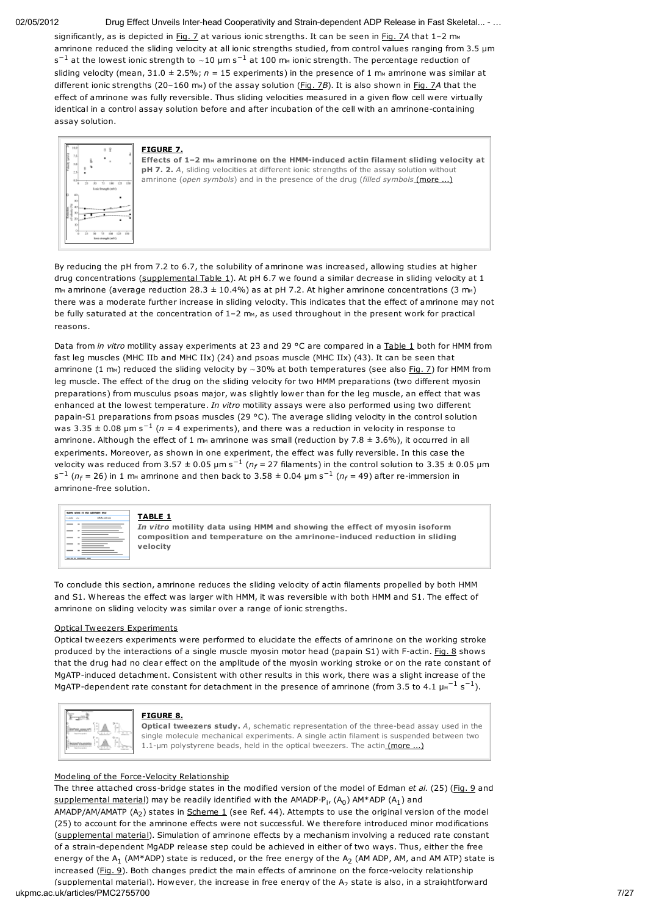significantly, as is depicted in Fig. 7 at various ionic strengths. It can be seen in Fig. 7A that  $1-2$  m amrinone reduced the sliding velocity at all ionic strengths studied, from control values ranging from 3.5 μm s<sup>-1</sup> at the lowest ionic strength to ~10 µm s<sup>-1</sup> at 100 m<sub>M</sub> ionic strength. The percentage reduction of sliding velocity (mean, 31.0  $\pm$  2.5%; n = 15 experiments) in the presence of 1 mM amrinone was similar at different ionic strengths (20-160 mm) of the assay solution (Fig. 7B). It is also shown in Fig. 7A that the effect of amrinone was fully reversible. Thus sliding velocities measured in a given flow cell were virtually identical in a control assay solution before and after incubation of the cell with an amrinone-containing assay solution.



Effects of  $1-2$  m<sub>M</sub> amrinone on the HMM-induced actin filament sliding velocity at pH 7. 2. A, sliding velocities at different ionic strengths of the assay solution without amrinone (open symbols) and in the presence of the drug (filled symbols (more ...)

By reducing the pH from 7.2 to 6.7, the solubility of amrinone was increased, allowing studies at higher drug concentrations (supplemental Table 1). At pH 6.7 we found a similar decrease in sliding velocity at 1  $m_M$  amrinone (average reduction 28.3  $\pm$  10.4%) as at pH 7.2. At higher amrinone concentrations (3 m<sub>M</sub>) there was a moderate further increase in sliding velocity. This indicates that the effect of amrinone may not be fully saturated at the concentration of 1-2 m<sub>M</sub>, as used throughout in the present work for practical reasons.

Data from in vitro motility assay experiments at 23 and 29 °C are compared in a Table 1 both for HMM from fast leg muscles (MHC IIb and MHC IIx) (24) and psoas muscle (MHC IIx) (43). It can be seen that amrinone (1 m<sub>M</sub>) reduced the sliding velocity by ~30% at both temperatures (see also Fig. 7) for HMM from leg muscle. The effect of the drug on the sliding velocity for two HMM preparations (two different myosin preparations) from musculus psoas major, was slightly lower than for the leg muscle, an effect that was enhanced at the lowest temperature. In vitro motility assays were also performed using two different papain-S1 preparations from psoas muscles (29 °C). The average sliding velocity in the control solution was 3.35  $\pm$  0.08 µm s<sup>-1</sup> (n = 4 experiments), and there was a reduction in velocity in response to amrinone. Although the effect of 1  $m_M$  amrinone was small (reduction by 7.8  $\pm$  3.6%), it occurred in all experiments. Moreover, as shown in one experiment, the effect was fully reversible. In this case the velocity was reduced from 3.57  $\pm$  0.05 µm s $^{-1}$  ( $n_f$  = 27 filaments) in the control solution to 3.35  $\pm$  0.05 µm s $^{-1}$  ( $n_f$  = 26) in 1 m<sub>M</sub> amrinone and then back to 3.58 ± 0.04 μm s $^{-1}$  ( $n_f$  = 49) after re-immersion in amrinone-free solution.

|                      | delive sales at the callenger star |
|----------------------|------------------------------------|
| <b>College Color</b> | <b>HALLMARK</b>                    |
|                      |                                    |
|                      |                                    |
|                      |                                    |
|                      |                                    |
|                      |                                    |

TABLE 1

In vitro motility data using HMM and showing the effect of myosin isoform composition and temperature on the amrinone-induced reduction in sliding velocity

To conclude this section, amrinone reduces the sliding velocity of actin filaments propelled by both HMM and S1. Whereas the effect was larger with HMM, it was reversible with both HMM and S1. The effect of amrinone on sliding velocity was similar over a range of ionic strengths.

#### Optical Tweezers Experiments

Optical tweezers experiments were performed to elucidate the effects of amrinone on the working stroke produced by the interactions of a single muscle myosin motor head (papain S1) with F-actin. Fig. 8 shows that the drug had no clear effect on the amplitude of the myosin working stroke or on the rate constant of MgATP-induced detachment. Consistent with other results in this work, there was a slight increase of the <code>MgATP-dependent</code> rate constant for detachment in the presence of amrinone (from 3.5 to 4.1  $\mu$ m $^{-1}$  s $^{-1}$ ).



#### FIGURE 8.

**Optical tweezers study.** A, schematic representation of the three-bead assay used in the single molecule mechanical experiments. A single actin filament is suspended between two 1.1-um polystyrene beads, held in the optical tweezers. The actin (more ...)

### Modeling of the Force-Velocity Relationship

The three attached cross-bridge states in the modified version of the model of Edman et al. (25) (Fig. 9 and supplemental material) may be readily identified with the AMADP·P<sub>i</sub>,  $(A_0)$  AM\*ADP  $(A_1)$  and AMADP/AM/AMATP (A<sub>2</sub>) states in Scheme 1 (see Ref. 44). Attempts to use the original version of the model

ukpmc.ac.uk/articles/PMC2755700 7/27 (25) to account for the amrinone effects were not successful. We therefore introduced minor modifications (supplemental material). Simulation of amrinone effects by a mechanism involving a reduced rate constant of a strain-dependent MgADP release step could be achieved in either of two ways. Thus, either the free energy of the A<sub>1</sub> (AM\*ADP) state is reduced, or the free energy of the A<sub>2</sub> (AM ADP, AM, and AM ATP) state is increased (Fig. 9). Both changes predict the main effects of amrinone on the force-velocity relationship (supplemental material). However, the increase in free energy of the A<sub>2</sub> state is also, in a straightforward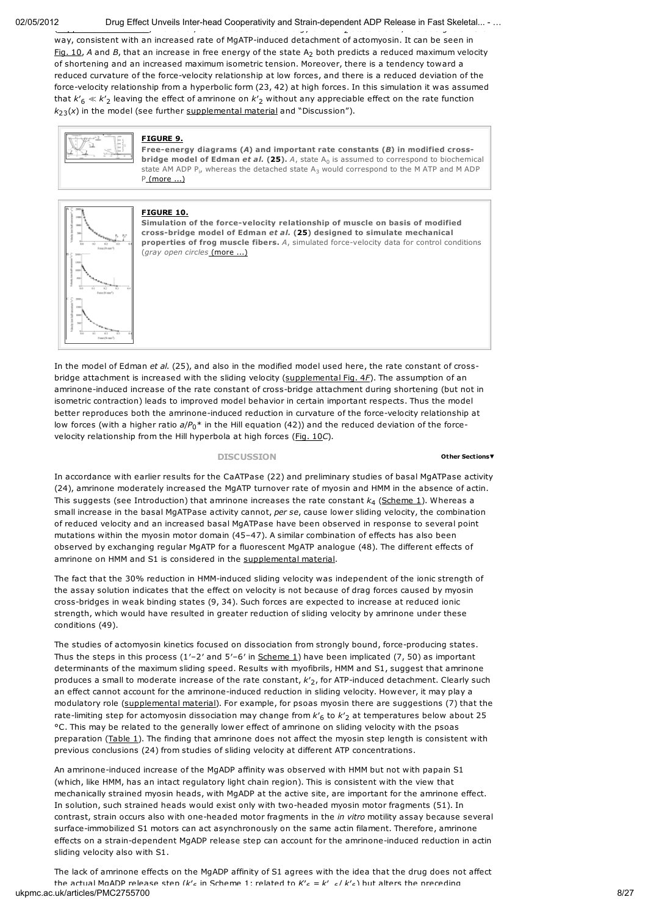(supplemental material). However, the increase in free energy of the A<sup>2</sup> state is also, in a straightforward way, consistent with an increased rate of MgATP-induced detachment of actomyosin. It can be seen in Fig. 10, A and B, that an increase in free energy of the state  $A_2$  both predicts a reduced maximum velocity of shortening and an increased maximum isometric tension. Moreover, there is a tendency toward a reduced curvature of the force-velocity relationship at low forces, and there is a reduced deviation of the force-velocity relationship from a hyperbolic form (23, 42) at high forces. In this simulation it was assumed that  $k'_{6} \ll k'_{2}$  leaving the effect of amrinone on  $k'_{2}$  without any appreciable effect on the rate function  $k_{23}(x)$  in the model (see further supplemental material and "Discussion").



### FIGURE 9.

Free-energy diagrams (A) and important rate constants (B) in modified cross**bridge model of Edman et al. (25).** A, state  $A_0$  is assumed to correspond to biochemical state AM ADP P<sub>i</sub>, whereas the detached state  $A_3$  would correspond to the M ATP and M ADP P (more ...)



#### FIGURE 10.

Simulation of the force-velocity relationship of muscle on basis of modified cross-bridge model of Edman et al. (25) designed to simulate mechanical properties of frog muscle fibers. A, simulated force-velocity data for control conditions (gray open circles (more ...)

In the model of Edman et al. (25), and also in the modified model used here, the rate constant of crossbridge attachment is increased with the sliding velocity (supplemental Fig. 4F). The assumption of an amrinone-induced increase of the rate constant of cross-bridge attachment during shortening (but not in isometric contraction) leads to improved model behavior in certain important respects. Thus the model better reproduces both the amrinone-induced reduction in curvature of the force-velocity relationship at low forces (with a higher ratio  $a/P_0^*$  in the Hill equation (42)) and the reduced deviation of the forcevelocity relationship from the Hill hyperbola at high forces (Fig. 10C).

#### **DISCUSSION**

#### Other Sections▼

In accordance with earlier results for the CaATPase (22) and preliminary studies of basal MgATPase activity (24), amrinone moderately increased the MgATP turnover rate of myosin and HMM in the absence of actin. This suggests (see Introduction) that amrinone increases the rate constant  $k_4$  (Scheme 1). Whereas a small increase in the basal MgATPase activity cannot, per se, cause lower sliding velocity, the combination of reduced velocity and an increased basal MgATPase have been observed in response to several point mutations within the myosin motor domain (45–47). A similar combination of effects has also been observed by exchanging regular MgATP for a fluorescent MgATP analogue (48). The different effects of amrinone on HMM and S1 is considered in the supplemental material.

The fact that the 30% reduction in HMM-induced sliding velocity was independent of the ionic strength of the assay solution indicates that the effect on velocity is not because of drag forces caused by myosin cross-bridges in weak binding states (9, 34). Such forces are expected to increase at reduced ionic strength, which would have resulted in greater reduction of sliding velocity by amrinone under these conditions (49).

The studies of actomyosin kinetics focused on dissociation from strongly bound, force-producing states. Thus the steps in this process (1′–2′ and 5′–6′ in Scheme 1) have been implicated (7, 50) as important determinants of the maximum sliding speed. Results with myofibrils, HMM and S1, suggest that amrinone produces a small to moderate increase of the rate constant,  $k'_{2}$ , for ATP-induced detachment. Clearly such an effect cannot account for the amrinone-induced reduction in sliding velocity. However, it may play a modulatory role (supplemental material). For example, for psoas myosin there are suggestions (7) that the rate-limiting step for actomyosin dissociation may change from  $k'_{6}$  to  $k'_{2}$  at temperatures below about 25 °C. This may be related to the generally lower effect of amrinone on sliding velocity with the psoas preparation (Table 1). The finding that amrinone does not affect the myosin step length is consistent with previous conclusions (24) from studies of sliding velocity at different ATP concentrations.

An amrinone-induced increase of the MgADP affinity was observed with HMM but not with papain S1 (which, like HMM, has an intact regulatory light chain region). This is consistent with the view that mechanically strained myosin heads, with MgADP at the active site, are important for the amrinone effect. In solution, such strained heads would exist only with two-headed myosin motor fragments (51). In contrast, strain occurs also with one-headed motor fragments in the in vitro motility assay because several surface-immobilized S1 motors can act asynchronously on the same actin filament. Therefore, amrinone effects on a strain-dependent MgADP release step can account for the amrinone-induced reduction in actin sliding velocity also with S1.

ukpmc.ac.uk/articles/PMC2755700 8/27 The lack of amrinone effects on the MgADP affinity of S1 agrees with the idea that the drug does not affect the actual MgADP release step (k'<sub>6</sub> in Scheme 1; related to  $K'_{6} = k'_{-6}/k'_{6}$ ) but alters the preceding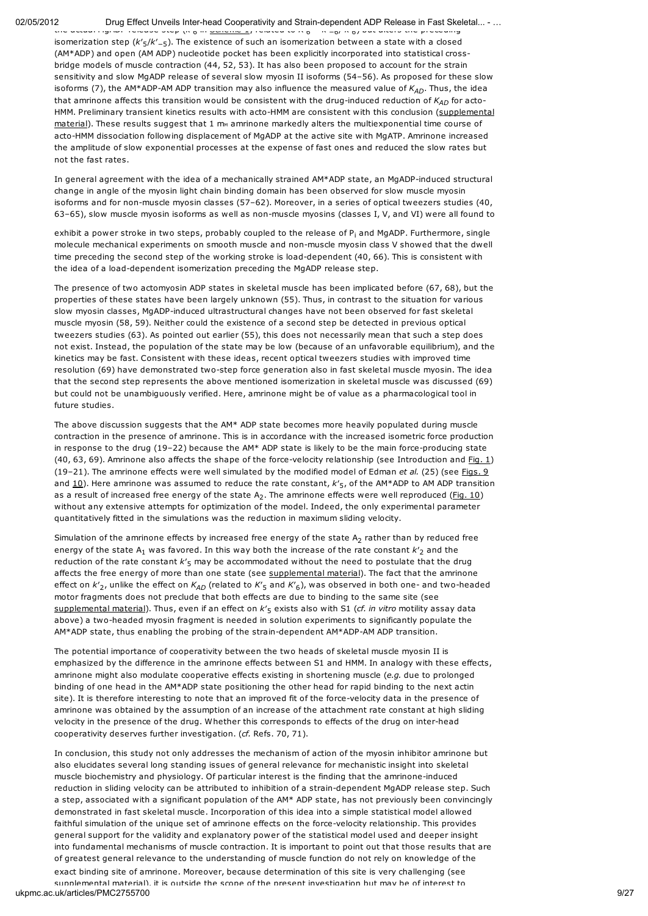the actual MgADP release step (k $|6 \rangle$  in <u>Scheme 1</u>; related to K $|6 - \kappa| = 6$ / k $|6$ ) but alters the preceding isomerization step ( $k'_{5}/k'_{-5}$ ). The existence of such an isomerization between a state with a closed (AM\*ADP) and open (AM ADP) nucleotide pocket has been explicitly incorporated into statistical crossbridge models of muscle contraction (44, 52, 53). It has also been proposed to account for the strain sensitivity and slow MgADP release of several slow myosin II isoforms (54–56). As proposed for these slow isoforms (7), the AM\*ADP-AM ADP transition may also influence the measured value of  $K_{AD}$ . Thus, the idea that amrinone affects this transition would be consistent with the drug-induced reduction of  $K_{AD}$  for acto-HMM. Preliminary transient kinetics results with acto-HMM are consistent with this conclusion (supplemental material). These results suggest that 1 m<sub>M</sub> amrinone markedly alters the multiexponential time course of acto-HMM dissociation following displacement of MgADP at the active site with MgATP. Amrinone increased the amplitude of slow exponential processes at the expense of fast ones and reduced the slow rates but not the fast rates.

In general agreement with the idea of a mechanically strained AM\*ADP state, an MgADP-induced structural change in angle of the myosin light chain binding domain has been observed for slow muscle myosin isoforms and for non-muscle myosin classes (57–62). Moreover, in a series of optical tweezers studies (40, 63–65), slow muscle myosin isoforms as well as non-muscle myosins (classes I, V, and VI) were all found to

exhibit a power stroke in two steps, probably coupled to the release of P<sub>i</sub> and MgADP. Furthermore, single molecule mechanical experiments on smooth muscle and non-muscle myosin class V showed that the dwell time preceding the second step of the working stroke is load-dependent (40, 66). This is consistent with the idea of a load-dependent isomerization preceding the MgADP release step.

The presence of two actomyosin ADP states in skeletal muscle has been implicated before (67, 68), but the properties of these states have been largely unknown (55). Thus, in contrast to the situation for various slow myosin classes, MgADP-induced ultrastructural changes have not been observed for fast skeletal muscle myosin (58, 59). Neither could the existence of a second step be detected in previous optical tweezers studies (63). As pointed out earlier (55), this does not necessarily mean that such a step does not exist. Instead, the population of the state may be low (because of an unfavorable equilibrium), and the kinetics may be fast. Consistent with these ideas, recent optical tweezers studies with improved time resolution (69) have demonstrated two-step force generation also in fast skeletal muscle myosin. The idea that the second step represents the above mentioned isomerization in skeletal muscle was discussed (69) but could not be unambiguously verified. Here, amrinone might be of value as a pharmacological tool in future studies.

The above discussion suggests that the AM\* ADP state becomes more heavily populated during muscle contraction in the presence of amrinone. This is in accordance with the increased isometric force production in response to the drug (19–22) because the AM\* ADP state is likely to be the main force-producing state (40, 63, 69). Amrinone also affects the shape of the force-velocity relationship (see Introduction and Fig. 1) (19-21). The amrinone effects were well simulated by the modified model of Edman et al. (25) (see Figs. 9 and 10). Here amrinone was assumed to reduce the rate constant,  $k'_{5}$ , of the AM\*ADP to AM ADP transition as a result of increased free energy of the state  $A_2$ . The amrinone effects were well reproduced (Fig. 10) without any extensive attempts for optimization of the model. Indeed, the only experimental parameter quantitatively fitted in the simulations was the reduction in maximum sliding velocity.

Simulation of the amrinone effects by increased free energy of the state  $A_2$  rather than by reduced free energy of the state  $A_1$  was favored. In this way both the increase of the rate constant  $k'_2$  and the reduction of the rate constant  $k'$ <sub>5</sub> may be accommodated without the need to postulate that the drug affects the free energy of more than one state (see supplemental material). The fact that the amrinone effect on  $k'_{2}$ , unlike the effect on  $K_{AD}$  (related to  $K'_{5}$  and  $K'_{6}$ ), was observed in both one- and two-headed motor fragments does not preclude that both effects are due to binding to the same site (see supplemental material). Thus, even if an effect on  $k'$ <sub>5</sub> exists also with S1 (cf. in vitro motility assay data above) a two-headed myosin fragment is needed in solution experiments to significantly populate the AM\*ADP state, thus enabling the probing of the strain-dependent AM\*ADP-AM ADP transition.

The potential importance of cooperativity between the two heads of skeletal muscle myosin II is emphasized by the difference in the amrinone effects between S1 and HMM. In analogy with these effects, amrinone might also modulate cooperative effects existing in shortening muscle (e.g. due to prolonged binding of one head in the AM\*ADP state positioning the other head for rapid binding to the next actin site). It is therefore interesting to note that an improved fit of the force-velocity data in the presence of amrinone was obtained by the assumption of an increase of the attachment rate constant at high sliding velocity in the presence of the drug. Whether this corresponds to effects of the drug on inter-head cooperativity deserves further investigation. (cf. Refs. 70, 71).

In conclusion, this study not only addresses the mechanism of action of the myosin inhibitor amrinone but also elucidates several long standing issues of general relevance for mechanistic insight into skeletal muscle biochemistry and physiology. Of particular interest is the finding that the amrinone-induced reduction in sliding velocity can be attributed to inhibition of a strain-dependent MgADP release step. Such a step, associated with a significant population of the AM\* ADP state, has not previously been convincingly demonstrated in fast skeletal muscle. Incorporation of this idea into a simple statistical model allowed faithful simulation of the unique set of amrinone effects on the force-velocity relationship. This provides general support for the validity and explanatory power of the statistical model used and deeper insight into fundamental mechanisms of muscle contraction. It is important to point out that those results that are of greatest general relevance to the understanding of muscle function do not rely on knowledge of the exact binding site of amrinone. Moreover, because determination of this site is very challenging (see supplemental material), it is outside the scope of the present investigation but may be of interest to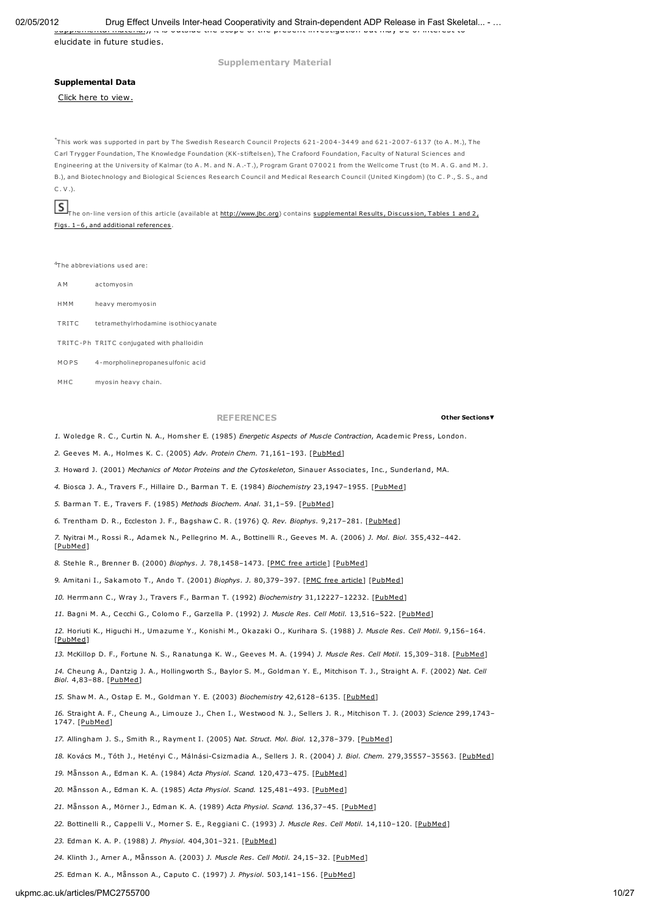supplemental supplemental present investigation but may be of inter elucidate in future studies.

Supplementary Material

#### Supplemental Data

Click here to view.

\*This work was supported in part by The Swedish Research Council Projects 621-2004-3449 and 621-2007-6137 (to A.M.), The C arl T rygger Foundation, T he Knowledge Foundation (KK-s tiftelsen), T he C rafoord Foundation, Faculty of Natural Sc iences and Engineering at the University of Kalmar (to A, M, and N, A,-T,), Program Grant 070021 from the Wellcome Trust (to M, A, G, and M, J. B.), and Biotechnology and Biological Sciences Research Council and Medical Research Council (United Kingdom) (to C.P., S.S., and  $C$   $V$  )

The on-line version of this article (available at http://www.jbc.org) contains supplemental Results, Discussion, Tables 1 and 2, Figs. 1-6, and additional references.

<sup>4</sup>T he abbreviations used are:

AM actomyosin HMM heavy meromyosin TRITC tetramethylrhodamine isothiocyanate TRITC-Ph TRITC conjugated with phalloidin M O P S 4-morpholinepropanes ulfonic acid MHC myosin heavy chain.

#### REFERENCES

Other Sections▼

1. Woledge R. C., Curtin N. A., Homsher E. (1985) Energetic Aspects of Muscle Contraction, Academic Press, London.

2. Geeves M. A., Holmes K. C. (2005) Adv. Protein Chem. 71,161-193. [PubMed]

- 3. Howard J. (2001) Mechanics of Motor Proteins and the Cytoskeleton, Sinauer Associates, Inc., Sunderland, MA.
- 4. Biosca J. A., Travers F., Hillaire D., Barman T. E. (1984) Biochemistry 23,1947-1955. [PubMed]
- 5. Barman T. E., Travers F. (1985) Methods Biochem. Anal. 31,1-59. [PubMed]

6. Trentham D. R., Eccleston J. F., Bagshaw C. R. (1976) Q. Rev. Biophys. 9,217–281. [PubMed]

7. Nyitrai M., Rossi R., Adamek N., Pellegrino M. A., Bottinelli R., Geeves M. A. (2006) J. Mol. Biol. 355,432–442. [PubMed]

8. Stehle R., Brenner B. (2000) Biophys. J. 78,1458-1473. [PMC free article] [PubMed]

#### 9. Amitani I., Sakamoto T., Ando T. (2001) Biophys. J. 80,379-397. [PMC free article] [PubMed]

10. Herrmann C., Wray J., Travers F., Barman T. (1992) Biochemistry 31,12227–12232. [PubMed]

11. Bagni M. A., Cecchi G., Colomo F., Garzella P. (1992) J. Muscle Res. Cell Motil. 13,516-522. [PubMed]

12. Horiuti K., Higuchi H., Umazume Y., Konishi M., Okazaki O., Kurihara S. (1988) J. Muscle Res. Cell Motil. 9,156–164. [PubMed]

13. McKillop D. F., Fortune N. S., Ranatunga K. W., Geeves M. A. (1994) J. Muscle Res. Cell Motil. 15,309–318. [PubMed]

14. Cheung A., Dantzig J. A., Hollingworth S., Baylor S. M., Goldman Y. E., Mitchison T. J., Straight A. F. (2002) Nat. Cell Biol. 4,83–88. [PubMed]

15. Shaw M. A., Ostap E. M., Goldman Y. E. (2003) Biochemistry 42,6128-6135. [PubMed]

16. Straight A. F., Cheung A., Limouze J., Chen I., Westwood N. J., Sellers J. R., Mitchison T. J. (2003) Science 299,1743– 1747. [PubMed]

17. Allingham J. S., Smith R., Rayment I. (2005) Nat. Struct. Mol. Biol. 12,378-379. [PubMed]

18. Kovács M., Tóth J., Hetényi C., Málnási-Csizmadia A., Sellers J. R. (2004) J. Biol. Chem. 279,35557-35563. [PubMed]

19. Månsson A., Edman K. A. (1984) Acta Physiol. Scand. 120,473–475. [PubMed]

20. Månsson A., Edman K. A. (1985) Acta Physiol. Scand. 125,481-493. [PubMed]

21. Månsson A., Mörner J., Edman K. A. (1989) Acta Physiol. Scand. 136,37–45. [PubMed]

22. Bottinelli R., Cappelli V., Morner S. E., Reggiani C. (1993) J. Muscle Res. Cell Motil. 14,110-120. [PubMed]

23. Edman K. A. P. (1988) J. Physiol. 404,301-321. [PubMed]

24. Klinth J., Arner A., Månsson A. (2003) J. Muscle Res. Cell Motil. 24,15-32. [PubMed]

25. Edman K. A., Månsson A., Caputo C. (1997) J. Physiol. 503,141-156. [PubMed]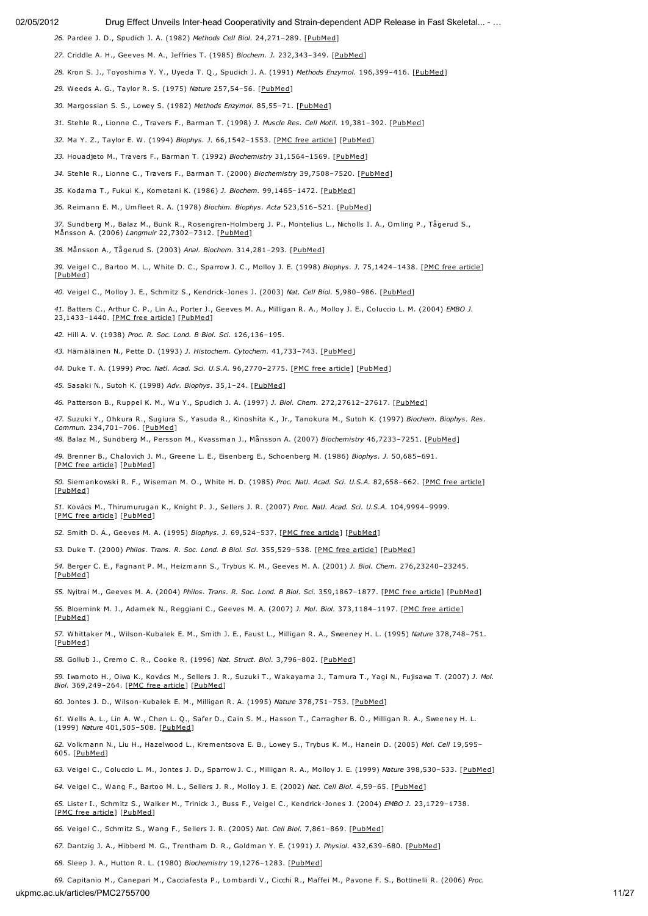- 26. Pardee J. D., Spudich J. A. (1982) Methods Cell Biol. 24,271-289. [PubMed]
- 27. Criddle A. H., Geeves M. A., Jeffries T. (1985) Biochem. J. 232,343-349. [PubMed]
- 28. Kron S. J., Toyoshima Y. Y., Uyeda T. Q., Spudich J. A. (1991) Methods Enzymol. 196,399-416. [PubMed]
- 29. Weeds A. G., Taylor R. S. (1975) Nature 257,54–56. [PubMed]
- 30. Margossian S. S., Lowey S. (1982) Methods Enzymol. 85,55-71. [PubMed]
- 31. Stehle R., Lionne C., Travers F., Barman T. (1998) J. Muscle Res. Cell Motil. 19,381-392. [PubMed]
- 32. Ma Y. Z., Taylor E. W. (1994) Biophys. J. 66,1542-1553. [PMC free article] [PubMed]
- 33. Houadjeto M., Travers F., Barman T. (1992) Biochemistry 31,1564-1569. [PubMed]
- 34. Stehle R., Lionne C., Travers F., Barman T. (2000) Biochemistry 39,7508-7520. [PubMed]
- 35. Kodama T., Fukui K., Kometani K. (1986) J. Biochem. 99,1465-1472. [PubMed]
- 36. Reimann E. M., Umfleet R. A. (1978) Biochim. Biophys. Acta 523,516-521. [PubMed]
- 37. Sundberg M., Balaz M., Bunk R., Rosengren-Holmberg J. P., Montelius L., Nicholls I. A., Omling P., Tågerud S., Månsson A. (2006) Langmuir 22,7302–7312. [PubMed]
- 38. Månsson A., Tågerud S. (2003) Anal. Biochem. 314,281-293. [PubMed]
- 39. Veigel C., Bartoo M. L., White D. C., Sparrow J. C., Molloy J. E. (1998) Biophys. J. 75,1424-1438. [PMC free article] [PubMed]
- 40. Veigel C., Molloy J. E., Schmitz S., Kendrick-Jones J. (2003) Nat. Cell Biol. 5,980-986. [PubMed]
- 41. Batters C., Arthur C. P., Lin A., Porter J., Geeves M. A., Milligan R. A., Molloy J. E., Coluccio L. M. (2004) EMBO J. 23,1433–1440. [PMC free article] [PubMed]
- 42. Hill A. V. (1938) Proc. R. Soc. Lond. B Biol. Sci. 126,136–195.
- 43. Hämäläinen N., Pette D. (1993) J. Histochem. Cytochem. 41,733-743. [PubMed]
- 44. Duke T. A. (1999) Proc. Natl. Acad. Sci. U.S.A. 96,2770-2775. [PMC free article] [PubMed]
- 45. Sasaki N., Sutoh K. (1998) Adv. Biophys. 35,1–24. [PubMed]
- 46. Patterson B., Ruppel K. M., Wu Y., Spudich J. A. (1997) J. Biol. Chem. 272,27612–27617. [PubMed]
- 47. Suzuki Y., Ohkura R., Sugiura S., Yasuda R., Kinoshita K., Jr., Tanokura M., Sutoh K. (1997) Biochem. Biophys. Res. Commun. 234,701–706. [PubMed]
- 48. Balaz M., Sundberg M., Persson M., Kvassman J., Månsson A. (2007) Biochemistry 46,7233-7251. [PubMed]
- 49. Brenner B., Chalovich J. M., Greene L. E., Eisenberg E., Schoenberg M. (1986) Biophys. J. 50,685-691. [PMC free article] [PubMed]
- 50. Siemankowski R. F., Wiseman M. O., White H. D. (1985) Proc. Natl. Acad. Sci. U.S.A. 82,658-662. [PMC free article] [PubMed]
- 51. Kovács M., Thirumurugan K., Knight P. J., Sellers J. R. (2007) Proc. Natl. Acad. Sci. U.S.A. 104,9994–9999. [PMC free article] [PubMed]
- 52. Smith D. A., Geeves M. A. (1995) Biophys. J. 69,524–537. [PMC free article] [PubMed]
- 53. Duke T. (2000) Philos. Trans. R. Soc. Lond. B Biol. Sci. 355,529-538. [PMC free article] [PubMed]
- 54. Berger C. E., Fagnant P. M., Heizmann S., Trybus K. M., Geeves M. A. (2001) J. Biol. Chem. 276,23240–23245. [PubMed]
- 55. Nyitrai M., Geeves M. A. (2004) Philos. Trans. R. Soc. Lond. B Biol. Sci. 359,1867-1877. [PMC free article] [PubMed]
- 56. Bloemink M. J., Adamek N., Reggiani C., Geeves M. A. (2007) J. Mol. Biol. 373,1184-1197. [PMC free article] [PubMed]
- 57. Whittaker M., Wilson-Kubalek E. M., Smith J. E., Faust L., Milligan R. A., Sweeney H. L. (1995) Nature 378,748–751. [PubMed]
- 58. Gollub J., Cremo C. R., Cooke R. (1996) Nat. Struct. Biol. 3,796–802. [PubMed]
- 59. Iwamoto H., Oiwa K., Kovács M., Sellers J. R., Suzuki T., Wakayama J., Tamura T., Yagi N., Fujisawa T. (2007) *J. Mol.*<br>*Biol.* 369,249–264. <u>[PMC free article] [PubMed]</u>
- 60. Jontes J. D., Wilson-Kubalek E. M., Milligan R. A. (1995) Nature 378,751–753. [PubMed]
- 61. Wells A. L., Lin A. W., Chen L. Q., Safer D., Cain S. M., Hasson T., Carragher B. O., Milligan R. A., Sweeney H. L.<br>(1999) *Nature* 401,505–508. <u>[PubMed</u>]
- 62. Volkmann N., Liu H., Hazelwood L., Krementsova E. B., Lowey S., Trybus K. M., Hanein D. (2005) Mol. Cell 19,595– 605. [PubMed]
- 63. Veigel C., Coluccio L. M., Jontes J. D., Sparrow J. C., Milligan R. A., Molloy J. E. (1999) Nature 398,530–533. [PubMed]
- 64. Veigel C., Wang F., Bartoo M. L., Sellers J. R., Molloy J. E. (2002) Nat. Cell Biol. 4,59-65. [PubMed]
- 65. Lister I., Schmitz S., Walker M., Trinick J., Buss F., Veigel C., Kendrick-Jones J. (2004) EMBO J. 23,1729–1738. [PMC free article] [PubMed]
- 66. Veigel C., Schmitz S., Wang F., Sellers J. R. (2005) Nat. Cell Biol. 7,861–869. [PubMed]
- 67. Dantzig J. A., Hibberd M. G., Trentham D. R., Goldman Y. E. (1991) J. Physiol. 432,639-680. [PubMed]
- 68. Sleep J. A., Hutton R. L. (1980) Biochemistry 19,1276–1283. [PubMed]
- ukpmc.ac.uk/articles/PMC2755700 11/27 69. Capitanio M., Canepari M., Cacciafesta P., Lombardi V., Cicchi R., Maffei M., Pavone F. S., Bottinelli R. (2006) Proc.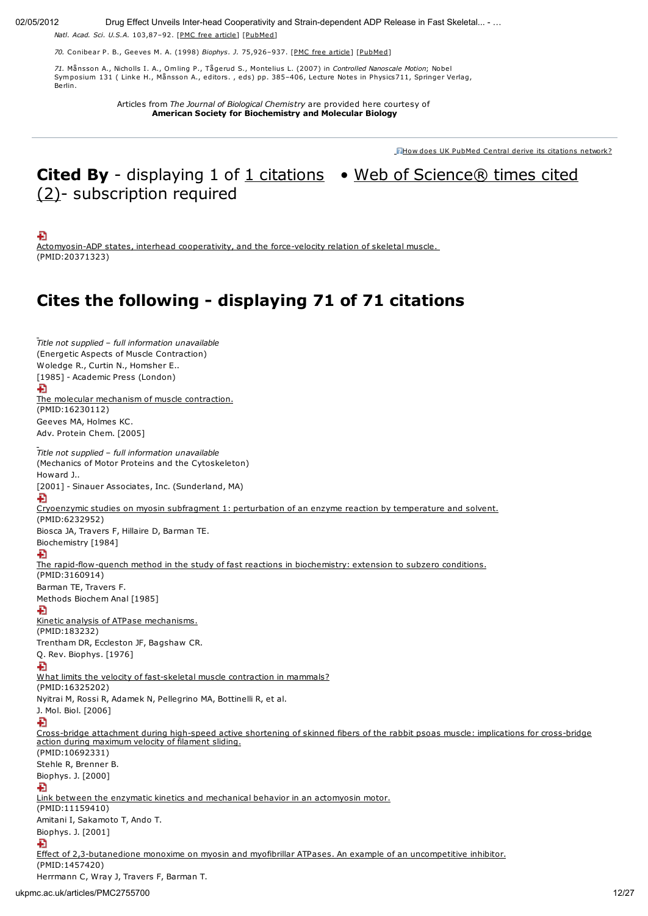Natl. Acad. Sci. U.S.A. 103,87-92. [PMC free article] [PubMed]

70. Conibear P. B., Geeves M. A. (1998) Biophys. J. 75,926-937. [PMC free article] [PubMed]

71. Månsson A., Nicholls I. A., Omling P., Tågerud S., Montelius L. (2007) in Controlled Nanoscale Motion; Nobel Symposium 131 ( Linke H., Månsson A., editors. , eds) pp. 385–406, Lecture Notes in Physics711, Springer Verlag, Berlin.

> Articles from The Journal of Biological Chemistry are provided here courtesy of American Society for Biochemistry and Molecular Biology

> > How does UK PubMed Central derive its citations network?

### Cited By - displaying 1 of 1 citations . Web of Science® times cited (2)- subscription required

Ð

Actomyosin-ADP states, interhead cooperativity, and the force-velocity relation of skeletal muscle. (PMID:20371323)

## Cites the following - displaying 71 of 71 citations

Title not supplied – full information unavailable (Energetic Aspects of Muscle Contraction) Woledge R., Curtin N., Homsher E.. [1985] - Academic Press (London) Ð The molecular mechanism of muscle contraction. (PMID:16230112) Geeves MA, Holmes KC. Adv. Protein Chem. [2005] Title not supplied – full information unavailable (Mechanics of Motor Proteins and the Cytoskeleton) Howard J.. [2001] - Sinauer Associates, Inc. (Sunderland, MA) Ð Cryoenzymic studies on myosin subfragment 1: perturbation of an enzyme reaction by temperature and solvent. (PMID:6232952) Biosca JA, Travers F, Hillaire D, Barman TE. Biochemistry [1984] Ð The rapid-flow-quench method in the study of fast reactions in biochemistry: extension to subzero conditions. (PMID:3160914) Barman TE, Travers F. Methods Biochem Anal [1985] Ð Kinetic analysis of ATPase mechanisms. (PMID:183232) Trentham DR, Eccleston JF, Bagshaw CR. Q. Rev. Biophys. [1976] Ð What limits the velocity of fast-skeletal muscle contraction in mammals? (PMID:16325202) Nyitrai M, Rossi R, Adamek N, Pellegrino MA, Bottinelli R, et al. J. Mol. Biol. [2006] Ð Cross-bridge attachment during high-speed active shortening of skinned fibers of the rabbit psoas muscle: implications for cross-bridge action during maximum velocity of filament sliding. (PMID:10692331) Stehle R, Brenner B. Biophys. J. [2000] Ð Link between the enzymatic kinetics and mechanical behavior in an actomyosin motor. (PMID:11159410) Amitani I, Sakamoto T, Ando T. Biophys. J. [2001] Ð Effect of 2,3-butanedione monoxime on myosin and myofibrillar ATPases. An example of an uncompetitive inhibitor. (PMID:1457420) Herrmann C, Wray J, Travers F, Barman T. ukpmc.ac.uk/articles/PMC2755700 12/27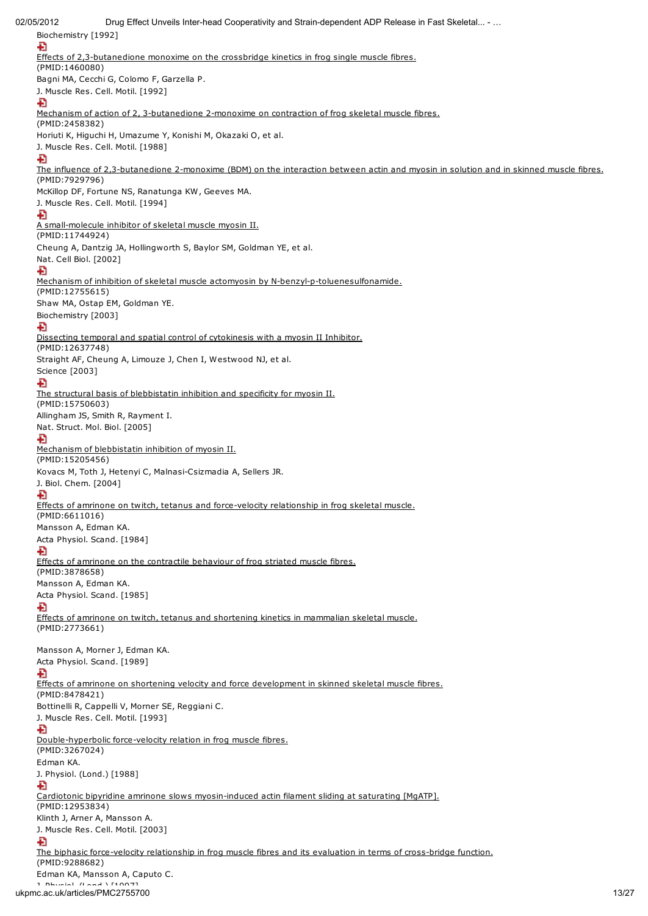02/05/2012 Drug Effect Unveils Inter-head Cooperativity and Strain-dependent ADP Release in Fast Skeletal... - ... Biochemistry [1992] Ð Effects of 2,3-butanedione monoxime on the crossbridge kinetics in frog single muscle fibres. (PMID:1460080) Bagni MA, Cecchi G, Colomo F, Garzella P. J. Muscle Res. Cell. Motil. [1992] Ð Mechanism of action of 2, 3-butanedione 2-monoxime on contraction of frog skeletal muscle fibres. (PMID:2458382) Horiuti K, Higuchi H, Umazume Y, Konishi M, Okazaki O, et al. J. Muscle Res. Cell. Motil. [1988] Ð The influence of 2,3-butanedione 2-monoxime (BDM) on the interaction between actin and myosin in solution and in skinned muscle fibres. (PMID:7929796) McKillop DF, Fortune NS, Ranatunga KW, Geeves MA. J. Muscle Res. Cell. Motil. [1994] Ð A small-molecule inhibitor of skeletal muscle myosin II. (PMID:11744924) Cheung A, Dantzig JA, Hollingworth S, Baylor SM, Goldman YE, et al. Nat. Cell Biol. [2002] Ð Mechanism of inhibition of skeletal muscle actomyosin by N-benzyl-p-toluenesulfonamide. (PMID:12755615) Shaw MA, Ostap EM, Goldman YE. Biochemistry [2003] Ð Dissecting temporal and spatial control of cytokinesis with a myosin II Inhibitor. (PMID:12637748) Straight AF, Cheung A, Limouze J, Chen I, Westwood NJ, et al. Science [2003] Ð The structural basis of blebbistatin inhibition and specificity for myosin II. (PMID:15750603) Allingham JS, Smith R, Rayment I. Nat. Struct. Mol. Biol. [2005] Ð Mechanism of blebbistatin inhibition of myosin II. (PMID:15205456) Kovacs M, Toth J, Hetenyi C, Malnasi-Csizmadia A, Sellers JR. J. Biol. Chem. [2004] Ð Effects of amrinone on twitch, tetanus and force-velocity relationship in frog skeletal muscle. (PMID:6611016) Mansson A, Edman KA. Acta Physiol. Scand. [1984] Ð Effects of amrinone on the contractile behaviour of frog striated muscle fibres. (PMID:3878658) Mansson A, Edman KA. Acta Physiol. Scand. [1985] Ð Effects of amrinone on twitch, tetanus and shortening kinetics in mammalian skeletal muscle. (PMID:2773661) Mansson A, Morner J, Edman KA. Acta Physiol. Scand. [1989] Ð Effects of amrinone on shortening velocity and force development in skinned skeletal muscle fibres. (PMID:8478421) Bottinelli R, Cappelli V, Morner SE, Reggiani C. J. Muscle Res. Cell. Motil. [1993] Ð Double-hyperbolic force-velocity relation in frog muscle fibres. (PMID:3267024) Edman KA. J. Physiol. (Lond.) [1988] Ð Cardiotonic bipyridine amrinone slows myosin-induced actin filament sliding at saturating [MgATP]. (PMID:12953834) Klinth J, Arner A, Mansson A. J. Muscle Res. Cell. Motil. [2003] Ð The biphasic force-velocity relationship in frog muscle fibres and its evaluation in terms of cross-bridge function. (PMID:9288682) Edman KA, Mansson A, Caputo C. ukpmc.ac.uk/articles/PMC2755700 13/27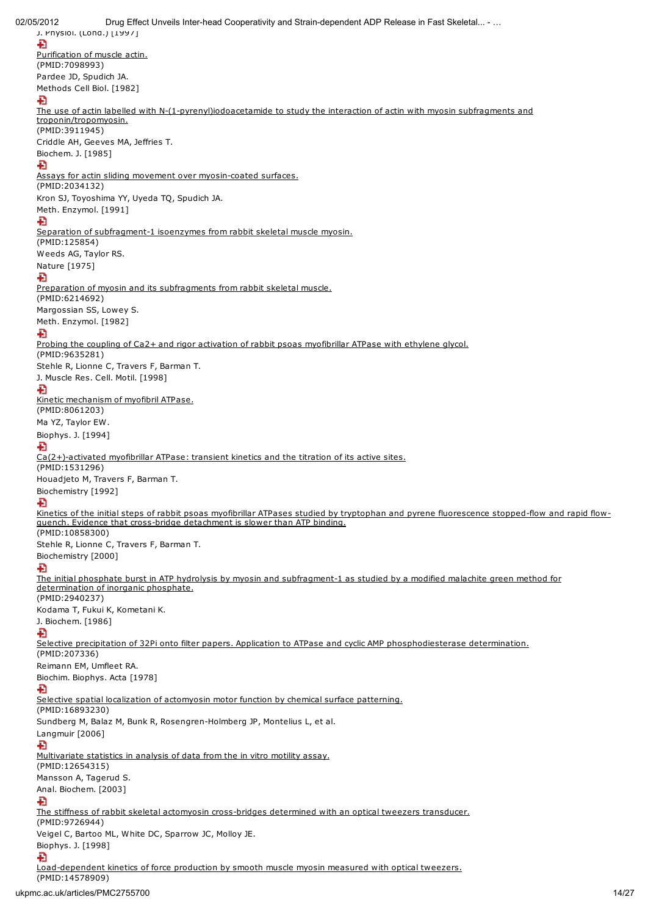| 02/05/2012                         | Drug Effect Unveils Inter-head Cooperativity and Strain-dependent ADP Release in Fast Skeletal -                                              |
|------------------------------------|-----------------------------------------------------------------------------------------------------------------------------------------------|
| J. Physiol. (Lond.) [1997]         |                                                                                                                                               |
| Ð<br>Purification of muscle actin. |                                                                                                                                               |
| (PMID:7098993)                     |                                                                                                                                               |
| Pardee JD, Spudich JA.             |                                                                                                                                               |
| Methods Cell Biol. [1982]          |                                                                                                                                               |
| Đ                                  |                                                                                                                                               |
|                                    | The use of actin labelled with N-(1-pyrenyl)iodoacetamide to study the interaction of actin with myosin subfragments and                      |
| troponin/tropomyosin.              |                                                                                                                                               |
| (PMID:3911945)                     |                                                                                                                                               |
|                                    | Criddle AH, Geeves MA, Jeffries T.                                                                                                            |
| Biochem. J. [1985]<br>Ð            |                                                                                                                                               |
|                                    | Assays for actin sliding movement over myosin-coated surfaces.                                                                                |
| (PMID:2034132)                     |                                                                                                                                               |
|                                    | Kron SJ, Toyoshima YY, Uyeda TQ, Spudich JA.                                                                                                  |
| Meth. Enzymol. [1991]              |                                                                                                                                               |
| Ð                                  |                                                                                                                                               |
| (PMID:125854)                      | Separation of subfragment-1 isoenzymes from rabbit skeletal muscle myosin.                                                                    |
| Weeds AG, Taylor RS.               |                                                                                                                                               |
| Nature [1975]                      |                                                                                                                                               |
| Ð                                  |                                                                                                                                               |
|                                    | Preparation of myosin and its subfragments from rabbit skeletal muscle.                                                                       |
| (PMID:6214692)                     |                                                                                                                                               |
| Margossian SS, Lowey S.            |                                                                                                                                               |
| Meth. Enzymol. [1982]              |                                                                                                                                               |
| Ð                                  |                                                                                                                                               |
| (PMID:9635281)                     | Probing the coupling of Ca2+ and rigor activation of rabbit psoas myofibrillar ATPase with ethylene glycol.                                   |
|                                    | Stehle R, Lionne C, Travers F, Barman T.                                                                                                      |
|                                    | J. Muscle Res. Cell. Motil. [1998]                                                                                                            |
| Ð                                  |                                                                                                                                               |
|                                    | Kinetic mechanism of myofibril ATPase.                                                                                                        |
| (PMID:8061203)                     |                                                                                                                                               |
| Ma YZ, Taylor EW.                  |                                                                                                                                               |
| Biophys. J. [1994]                 |                                                                                                                                               |
| Ð                                  | $Ca(2+)$ -activated myofibrillar ATPase: transient kinetics and the titration of its active sites.                                            |
| (PMID:1531296)                     |                                                                                                                                               |
|                                    | Houadjeto M, Travers F, Barman T.                                                                                                             |
| Biochemistry [1992]                |                                                                                                                                               |
| Ð                                  |                                                                                                                                               |
|                                    | Kinetics of the initial steps of rabbit psoas myofibrillar ATPases studied by tryptophan and pyrene fluorescence stopped-flow and rapid flow- |
| (PMID:10858300)                    | guench. Evidence that cross-bridge detachment is slower than ATP binding.                                                                     |
|                                    | Stehle R, Lionne C, Travers F, Barman T.                                                                                                      |
| Biochemistry [2000]                |                                                                                                                                               |
| Ð                                  |                                                                                                                                               |
|                                    | The initial phosphate burst in ATP hydrolysis by myosin and subfragment-1 as studied by a modified malachite green method for                 |
|                                    | determination of inorganic phosphate.                                                                                                         |
| (PMID:2940237)                     | Kodama T, Fukui K, Kometani K.                                                                                                                |
| J. Biochem. [1986]                 |                                                                                                                                               |
| Ð                                  |                                                                                                                                               |
|                                    | Selective precipitation of 32Pi onto filter papers. Application to ATPase and cyclic AMP phosphodiesterase determination.                     |
| (PMID:207336)                      |                                                                                                                                               |
| Reimann EM, Umfleet RA.            |                                                                                                                                               |
| Biochim. Biophys. Acta [1978]      |                                                                                                                                               |
| Đ                                  | Selective spatial localization of actomyosin motor function by chemical surface patterning.                                                   |
| (PMID:16893230)                    |                                                                                                                                               |
|                                    | Sundberg M, Balaz M, Bunk R, Rosengren-Holmberg JP, Montelius L, et al.                                                                       |
| Langmuir [2006]                    |                                                                                                                                               |
| Ð                                  |                                                                                                                                               |
|                                    | Multivariate statistics in analysis of data from the in vitro motility assay.                                                                 |
| (PMID:12654315)                    |                                                                                                                                               |
| Mansson A, Tagerud S.              |                                                                                                                                               |
| Anal. Biochem. [2003]<br>Ð         |                                                                                                                                               |
|                                    | The stiffness of rabbit skeletal actomyosin cross-bridges determined with an optical tweezers transducer.                                     |
| (PMID:9726944)                     |                                                                                                                                               |
|                                    | Veigel C, Bartoo ML, White DC, Sparrow JC, Molloy JE.                                                                                         |
| Biophys. J. [1998]                 |                                                                                                                                               |
| Ð                                  |                                                                                                                                               |
| (PMID:14578909)                    | Load-dependent kinetics of force production by smooth muscle myosin measured with optical tweezers.                                           |
|                                    |                                                                                                                                               |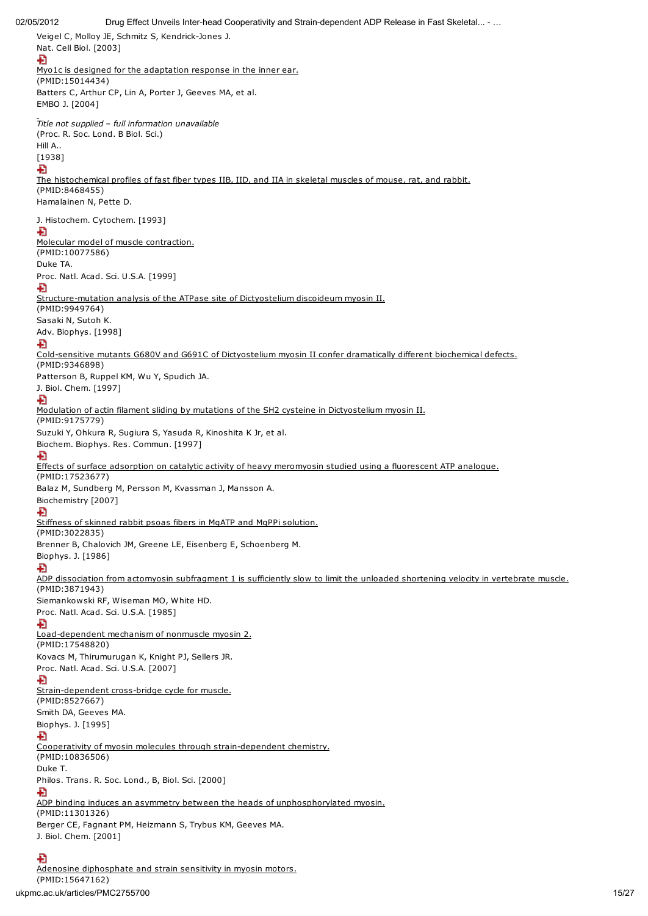02/05/2012 Drug Effect Unveils Inter-head Cooperativity and Strain-dependent ADP Release in Fast Skeletal... - ... Veigel C, Molloy JE, Schmitz S, Kendrick-Jones J. Nat. Cell Biol. [2003] Ð Myo1c is designed for the adaptation response in the inner ear. (PMID:15014434) Batters C, Arthur CP, Lin A, Porter J, Geeves MA, et al. EMBO J. [2004] Title not supplied – full information unavailable (Proc. R. Soc. Lond. B Biol. Sci.) Hill A.. [1938] Ð The histochemical profiles of fast fiber types IIB, IID, and IIA in skeletal muscles of mouse, rat, and rabbit. (PMID:8468455) Hamalainen N, Pette D. J. Histochem. Cytochem. [1993] Đ Molecular model of muscle contraction. (PMID:10077586) Duke TA. Proc. Natl. Acad. Sci. U.S.A. [1999] Ð Structure-mutation analysis of the ATPase site of Dictyostelium discoideum myosin II. (PMID:9949764) Sasaki N, Sutoh K. Adv. Biophys. [1998] Ð Cold-sensitive mutants G680V and G691C of Dictyostelium myosin II confer dramatically different biochemical defects. (PMID:9346898) Patterson B, Ruppel KM, Wu Y, Spudich JA. J. Biol. Chem. [1997] Ð Modulation of actin filament sliding by mutations of the SH2 cysteine in Dictyostelium myosin II. (PMID:9175779) Suzuki Y, Ohkura R, Sugiura S, Yasuda R, Kinoshita K Jr, et al. Biochem. Biophys. Res. Commun. [1997] Ð Effects of surface adsorption on catalytic activity of heavy meromyosin studied using a fluorescent ATP analogue. (PMID:17523677) Balaz M, Sundberg M, Persson M, Kvassman J, Mansson A. Biochemistry [2007] Ð Stiffness of skinned rabbit psoas fibers in MgATP and MgPPi solution. (PMID:3022835) Brenner B, Chalovich JM, Greene LE, Eisenberg E, Schoenberg M. Biophys. J. [1986] Ð ADP dissociation from actomyosin subfragment 1 is sufficiently slow to limit the unloaded shortening velocity in vertebrate muscle. (PMID:3871943) Siemankowski RF, Wiseman MO, White HD. Proc. Natl. Acad. Sci. U.S.A. [1985] Ð Load-dependent mechanism of nonmuscle myosin 2. (PMID:17548820) Kovacs M, Thirumurugan K, Knight PJ, Sellers JR. Proc. Natl. Acad. Sci. U.S.A. [2007] Ð Strain-dependent cross-bridge cycle for muscle. (PMID:8527667) Smith DA, Geeves MA. Biophys. J. [1995] Ð Cooperativity of myosin molecules through strain-dependent chemistry. (PMID:10836506) Duke T. Philos. Trans. R. Soc. Lond., B, Biol. Sci. [2000] Ð ADP binding induces an asymmetry between the heads of unphosphorylated myosin. (PMID:11301326) Berger CE, Fagnant PM, Heizmann S, Trybus KM, Geeves MA. J. Biol. Chem. [2001] Ð Adenosine diphosphate and strain sensitivity in myosin motors. (PMID:15647162)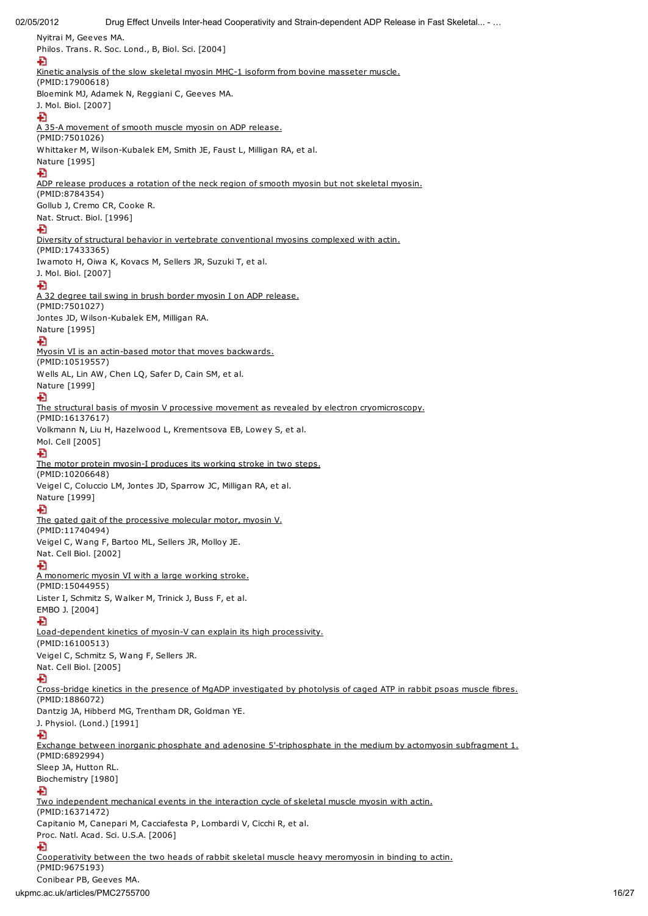Nyitrai M, Geeves MA. Philos. Trans. R. Soc. Lond., B, Biol. Sci. [2004] Ð Kinetic analysis of the slow skeletal myosin MHC-1 isoform from bovine masseter muscle. (PMID:17900618) Bloemink MJ, Adamek N, Reggiani C, Geeves MA. J. Mol. Biol. [2007] Ð A 35-A movement of smooth muscle myosin on ADP release. (PMID:7501026) Whittaker M, Wilson-Kubalek EM, Smith JE, Faust L, Milligan RA, et al. Nature [1995] Đ ADP release produces a rotation of the neck region of smooth myosin but not skeletal myosin. (PMID:8784354) Gollub J, Cremo CR, Cooke R. Nat. Struct. Biol. [1996] Ð Diversity of structural behavior in vertebrate conventional myosins complexed with actin. (PMID:17433365) Iwamoto H, Oiwa K, Kovacs M, Sellers JR, Suzuki T, et al. J. Mol. Biol. [2007] Ð A 32 degree tail swing in brush border myosin I on ADP release. (PMID:7501027) Jontes JD, Wilson-Kubalek EM, Milligan RA. Nature [1995] Ð Myosin VI is an actin-based motor that moves backwards. (PMID:10519557) Wells AL, Lin AW, Chen LQ, Safer D, Cain SM, et al. Nature [1999] Ð The structural basis of myosin V processive movement as revealed by electron cryomicroscopy. (PMID:16137617) Volkmann N, Liu H, Hazelwood L, Krementsova EB, Lowey S, et al. Mol. Cell [2005] Đ The motor protein myosin-I produces its working stroke in two steps. (PMID:10206648) Veigel C, Coluccio LM, Jontes JD, Sparrow JC, Milligan RA, et al. Nature [1999] Ð The gated gait of the processive molecular motor, myosin V. (PMID:11740494) Veigel C, Wang F, Bartoo ML, Sellers JR, Molloy JE. Nat. Cell Biol. [2002] Ð A monomeric myosin VI with a large working stroke. (PMID:15044955) Lister I, Schmitz S, Walker M, Trinick J, Buss F, et al. EMBO J. [2004] Ð Load-dependent kinetics of myosin-V can explain its high processivity. (PMID:16100513) Veigel C, Schmitz S, Wang F, Sellers JR. Nat. Cell Biol. [2005] Ð Cross-bridge kinetics in the presence of MgADP investigated by photolysis of caged ATP in rabbit psoas muscle fibres. (PMID:1886072) Dantzig JA, Hibberd MG, Trentham DR, Goldman YE. J. Physiol. (Lond.) [1991] Ð Exchange between inorganic phosphate and adenosine 5'-triphosphate in the medium by actomyosin subfragment 1. (PMID:6892994) Sleep JA, Hutton RL. Biochemistry [1980] Ð Two independent mechanical events in the interaction cycle of skeletal muscle myosin with actin. (PMID:16371472) Capitanio M, Canepari M, Cacciafesta P, Lombardi V, Cicchi R, et al. Proc. Natl. Acad. Sci. U.S.A. [2006] Ð Cooperativity between the two heads of rabbit skeletal muscle heavy meromyosin in binding to actin. (PMID:9675193) Conibear PB, Geeves MA.ukpmc.ac.uk/articles/PMC2755700 16/27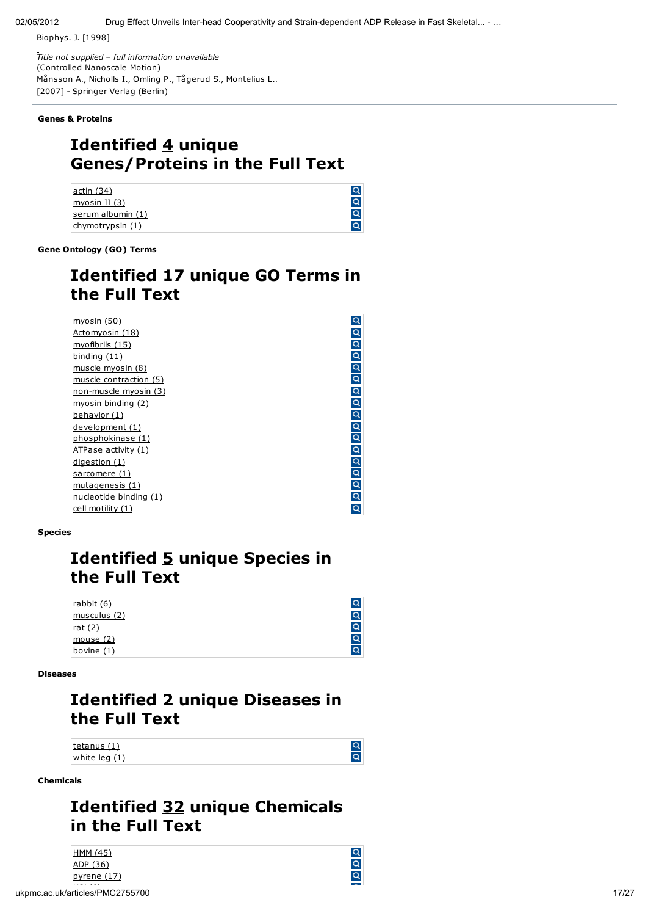Biophys. J. [1998]

Title not supplied – full information unavailable (Controlled Nanoscale Motion) Månsson A., Nicholls I., Omling P., Tågerud S., Montelius L.. [2007] - Springer Verlag (Berlin)

### Genes & Proteins

## Identified 4 unique Genes/Proteins in the Full Text

| $\vert$ actin (34)   |   |
|----------------------|---|
| <u>myosin II (3)</u> | Q |
| serum albumin (1)    | Q |
| chymotrypsin (1)     | Q |

Gene Ontology (GO) Terms

# Identified 17 unique GO Terms in the Full Text

| <u>myosin (50)</u>     | Q              |
|------------------------|----------------|
| Actomyosin (18)        | $\alpha$       |
| myofibrils (15)        | Q              |
| binding $(11)$         | Q              |
| muscle myosin (8)      | $\alpha$       |
| muscle contraction (5) | $\mathbf{Q}$   |
| non-muscle myosin (3)  | $\mathbf{Q}$   |
| myosin binding (2)     | $\alpha$       |
| <u>behavior (1)</u>    | Q              |
| development (1)        | $\alpha$       |
| phosphokinase (1)      | $\pmb{\alpha}$ |
| ATPase activity (1)    | $\alpha$       |
| digestion (1)          | $\pmb{\alpha}$ |
| sarcomere (1)          | Q              |
| mutagenesis (1)        | $\mathbf{Q}$   |
| nucleotide binding (1) | Q              |
| cell motility (1)      | Q              |

Species

## Identified 5 unique Species in the Full Text

| rabbit (6)   |          |
|--------------|----------|
| musculus (2) | $\alpha$ |
| rat $(2)$    | $\alpha$ |
| mouse $(2)$  | Q        |
| bovine $(1)$ |          |

Diseases

# Identified 2 unique Diseases in the Full Text

 $\frac{a}{a}$ tetanus (1) white leg (1)

Chemicals

## Identified 32 unique Chemicals in the Full Text

| HMM (45)                        |        |  |
|---------------------------------|--------|--|
| ADP (36)                        |        |  |
| pyrene (17)                     |        |  |
| .                               | $\sim$ |  |
| ukpmc.ac.uk/articles/PMC2755700 |        |  |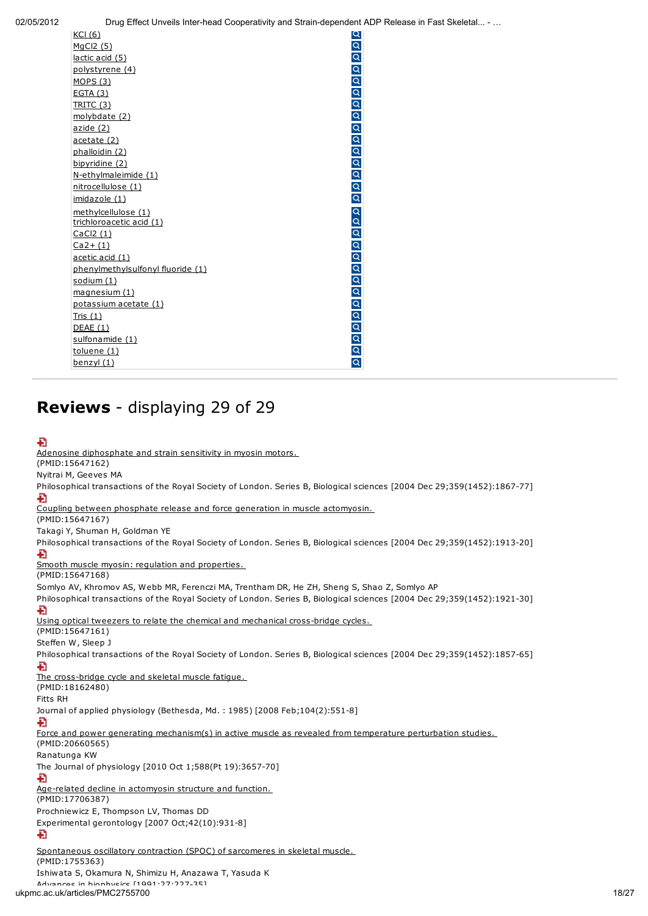| KCl(6)                            | Q                       |
|-----------------------------------|-------------------------|
| MgCl2 (5)                         | $\pmb{\alpha}$          |
| lactic acid (5)                   | $\pmb{\alpha}$          |
| polystyrene (4)                   | $\pmb{\alpha}$          |
| MOPS(3)                           | $\alpha$                |
| EGTA(3)                           | $\alpha$                |
| TRITC (3)                         | $\pmb{\alpha}$          |
| molybdate (2)                     | $\pmb{\alpha}$          |
| azide(2)                          | $\alpha$                |
| acetate (2)                       | $\alpha$                |
| phalloidin (2)                    | $\pmb{\alpha}$          |
| bipyridine (2)                    | $\pmb{\alpha}$          |
| N-ethylmaleimide (1)              | $\pmb{\alpha}$          |
| nitrocellulose (1)                | $\pmb{\alpha}$          |
| imidazole (1)                     | $\pmb{\alpha}$          |
| methylcellulose (1)               | $\alpha$                |
| trichloroacetic acid (1)          |                         |
| CaCl2 (1)                         | $\overline{\mathbf{Q}}$ |
| $Ca2+ (1)$                        |                         |
| acetic acid (1)                   |                         |
| phenylmethylsulfonyl fluoride (1) | a<br>a<br>a             |
| sodium $(1)$                      |                         |
| magnesium (1)                     |                         |
| potassium acetate (1)             |                         |
| Tris(1)                           |                         |
| DEAE(1)                           |                         |
| sulfonamide (1)                   | a a a a a               |
| toluene $(1)$                     |                         |
| benzyl(1)                         | $\pmb{\alpha}$          |
|                                   |                         |

# Reviews - displaying 29 of 29

### Đ

Adenosine diphosphate and strain sensitivity in myosin motors. (PMID:15647162) Nyitrai M, Geeves MA Philosophical transactions of the Royal Society of London. Series B, Biological sciences [2004 Dec 29;359(1452):1867-77] Ð Coupling between phosphate release and force generation in muscle actomyosin. (PMID:15647167) Takagi Y, Shuman H, Goldman YE Philosophical transactions of the Royal Society of London. Series B, Biological sciences [2004 Dec 29;359(1452):1913-20] Ð Smooth muscle myosin: regulation and properties. (PMID:15647168) Somlyo AV, Khromov AS, Webb MR, Ferenczi MA, Trentham DR, He ZH, Sheng S, Shao Z, Somlyo AP Philosophical transactions of the Royal Society of London. Series B, Biological sciences [2004 Dec 29;359(1452):1921-30] Ð Using optical tweezers to relate the chemical and mechanical cross-bridge cycles. (PMID:15647161) Steffen W, Sleep J Philosophical transactions of the Royal Society of London. Series B, Biological sciences [2004 Dec 29;359(1452):1857-65] Ð The cross-bridge cycle and skeletal muscle fatigue. (PMID:18162480) Fitts RH Journal of applied physiology (Bethesda, Md. : 1985) [2008 Feb;104(2):551-8] Ð Force and power generating mechanism(s) in active muscle as revealed from temperature perturbation studies. (PMID:20660565) Ranatunga KW The Journal of physiology [2010 Oct 1;588(Pt 19):3657-70] Ð Age-related decline in actomyosin structure and function. (PMID:17706387) Prochniewicz E, Thompson LV, Thomas DD Experimental gerontology [2007 Oct;42(10):931-8] Đ Spontaneous oscillatory contraction (SPOC) of sarcomeres in skeletal muscle. (PMID:1755363)

Ishiwata S, Okamura N, Shimizu H, Anazawa T, Yasuda K Advances in biophysics [1001+27+277-25]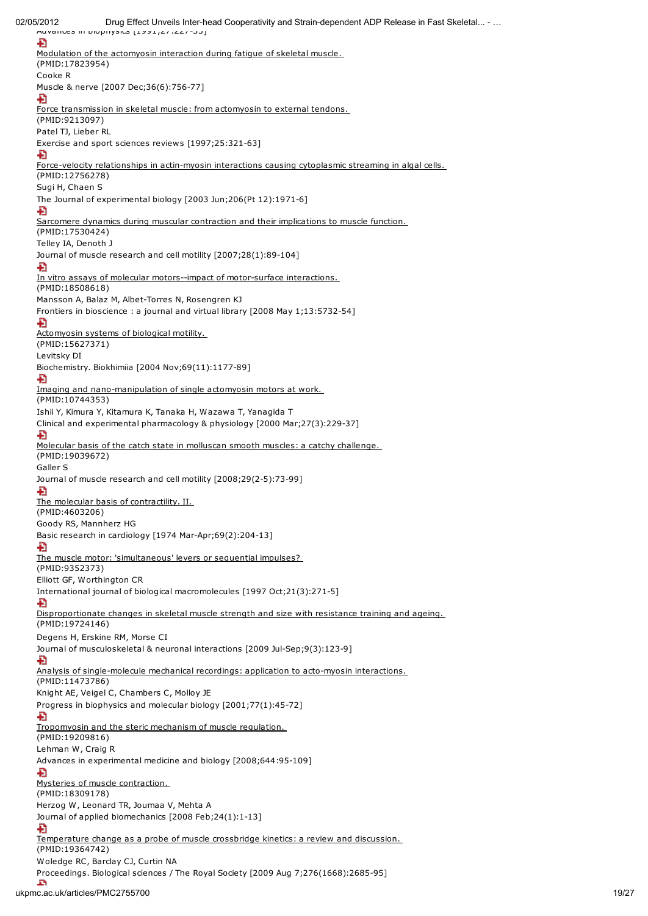02/05/2012 Drug Effect Unveils Inter-head Cooperativity and Strain-dependent ADP Release in Fast Skeletal... - ... Advances in biophysics [1991;27:227-35] Ð Modulation of the actomyosin interaction during fatigue of skeletal muscle. (PMID:17823954) Cooke R Muscle & nerve [2007 Dec;36(6):756-77] Ð Force transmission in skeletal muscle: from actomyosin to external tendons. (PMID:9213097) Patel TJ, Lieber RL Exercise and sport sciences reviews [1997;25:321-63] Ð Force-velocity relationships in actin-myosin interactions causing cytoplasmic streaming in algal cells. (PMID:12756278) Sugi H, Chaen S The Journal of experimental biology [2003 Jun;206(Pt 12):1971-6] Ð Sarcomere dynamics during muscular contraction and their implications to muscle function. (PMID:17530424) Telley IA, Denoth J Journal of muscle research and cell motility [2007;28(1):89-104] Đ In vitro assays of molecular motors--impact of motor-surface interactions. (PMID:18508618) Mansson A, Balaz M, Albet-Torres N, Rosengren KJ Frontiers in bioscience : a journal and virtual library [2008 May 1;13:5732-54] Ð Actomyosin systems of biological motility. (PMID:15627371) Levitsky DI Biochemistry. Biokhimiia [2004 Nov;69(11):1177-89] Ð Imaging and nano-manipulation of single actomyosin motors at work. (PMID:10744353) Ishii Y, Kimura Y, Kitamura K, Tanaka H, Wazawa T, Yanagida T Clinical and experimental pharmacology & physiology [2000 Mar;27(3):229-37] Ð Molecular basis of the catch state in molluscan smooth muscles: a catchy challenge. (PMID:19039672) Galler S Journal of muscle research and cell motility [2008;29(2-5):73-99] Ð The molecular basis of contractility. II. (PMID:4603206) Goody RS, Mannherz HG Basic research in cardiology [1974 Mar-Apr;69(2):204-13] Ð The muscle motor: 'simultaneous' levers or sequential impulses? (PMID:9352373) Elliott GF, Worthington CR International journal of biological macromolecules [1997 Oct;21(3):271-5] Ð Disproportionate changes in skeletal muscle strength and size with resistance training and ageing. (PMID:19724146) Degens H, Erskine RM, Morse CI Journal of musculoskeletal & neuronal interactions [2009 Jul-Sep;9(3):123-9] Ð Analysis of single-molecule mechanical recordings: application to acto-myosin interactions. (PMID:11473786) Knight AE, Veigel C, Chambers C, Molloy JE Progress in biophysics and molecular biology [2001;77(1):45-72] Ð Tropomyosin and the steric mechanism of muscle regulation. (PMID:19209816) Lehman W, Craig R Advances in experimental medicine and biology [2008;644:95-109] Ð Mysteries of muscle contraction. (PMID:18309178) Herzog W, Leonard TR, Joumaa V, Mehta A Journal of applied biomechanics [2008 Feb;24(1):1-13] Ð Temperature change as a probe of muscle crossbridge kinetics: a review and discussion. (PMID:19364742) Woledge RC, Barclay CJ, Curtin NA Proceedings. Biological sciences / The Royal Society [2009 Aug 7;276(1668):2685-95]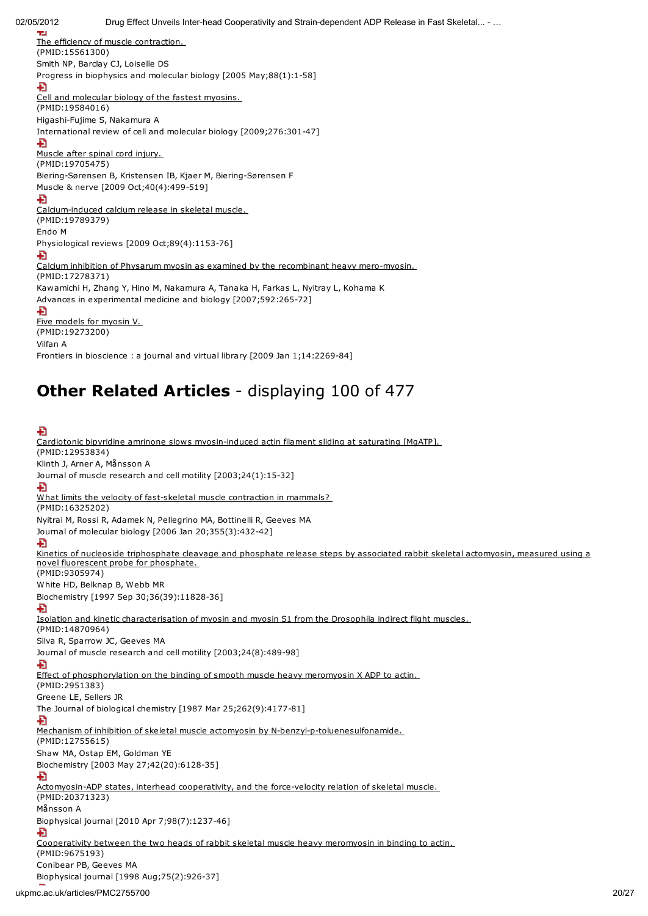02/05/2012 Drug Effect Unveils Inter-head Cooperativity and Strain-dependent ADP Release in Fast Skeletal... - ... mu. The efficiency of muscle contraction. (PMID:15561300) Smith NP, Barclay CJ, Loiselle DS Progress in biophysics and molecular biology [2005 May;88(1):1-58] Ð Cell and molecular biology of the fastest myosins. (PMID:19584016) Higashi-Fujime S, Nakamura A International review of cell and molecular biology [2009;276:301-47] Ð Muscle after spinal cord injury. (PMID:19705475) Biering-Sørensen B, Kristensen IB, Kjaer M, Biering-Sørensen F Muscle & nerve [2009 Oct;40(4):499-519] Ð Calcium-induced calcium release in skeletal muscle. (PMID:19789379) Endo M Physiological reviews [2009 Oct;89(4):1153-76] Đ Calcium inhibition of Physarum myosin as examined by the recombinant heavy mero-myosin. (PMID:17278371) Kawamichi H, Zhang Y, Hino M, Nakamura A, Tanaka H, Farkas L, Nyitray L, Kohama K Advances in experimental medicine and biology [2007;592:265-72] Ð Five models for myosin V. (PMID:19273200) Vilfan A Frontiers in bioscience : a journal and virtual library [2009 Jan 1;14:2269-84]

# Other Related Articles - displaying 100 of 477

Ð

Cardiotonic bipyridine amrinone slows myosin-induced actin filament sliding at saturating [MgATP]. (PMID:12953834) Klinth J, Arner A, Månsson A Journal of muscle research and cell motility [2003;24(1):15-32] Ð What limits the velocity of fast-skeletal muscle contraction in mammals? (PMID:16325202) Nyitrai M, Rossi R, Adamek N, Pellegrino MA, Bottinelli R, Geeves MA Journal of molecular biology [2006 Jan 20;355(3):432-42] Ð Kinetics of nucleoside triphosphate cleavage and phosphate release steps by associated rabbit skeletal actomyosin, measured using a novel fluorescent probe for phosphate. (PMID:9305974) White HD, Belknap B, Webb MR Biochemistry [1997 Sep 30;36(39):11828-36] Ð Isolation and kinetic characterisation of myosin and myosin S1 from the Drosophila indirect flight muscles. (PMID:14870964) Silva R, Sparrow JC, Geeves MA Journal of muscle research and cell motility [2003;24(8):489-98] Ð Effect of phosphorylation on the binding of smooth muscle heavy meromyosin X ADP to actin. (PMID:2951383) Greene LE, Sellers JR The Journal of biological chemistry [1987 Mar 25;262(9):4177-81] Ð Mechanism of inhibition of skeletal muscle actomyosin by N-benzyl-p-toluenesulfonamide. (PMID:12755615) Shaw MA, Ostap EM, Goldman YE Biochemistry [2003 May 27;42(20):6128-35] Ð Actomyosin-ADP states, interhead cooperativity, and the force-velocity relation of skeletal muscle. (PMID:20371323) Månsson A Biophysical journal [2010 Apr 7;98(7):1237-46] Ð Cooperativity between the two heads of rabbit skeletal muscle heavy meromyosin in binding to actin. (PMID:9675193) Conibear PB, Geeves MA Biophysical journal [1998 Aug;75(2):926-37]ukpmc.ac.uk/articles/PMC2755700 20/27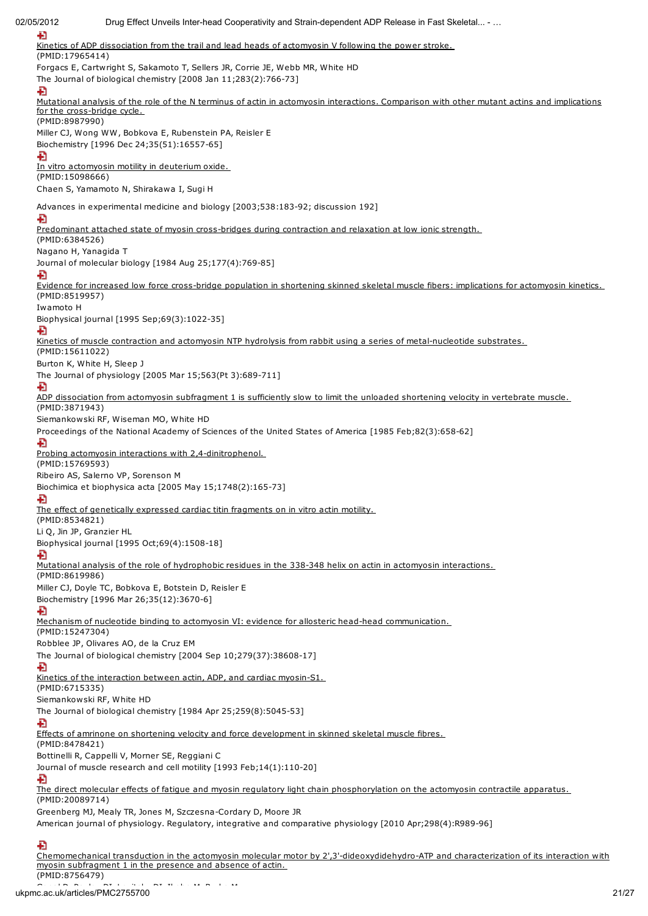الغا Kinetics of ADP dissociation from the trail and lead heads of actomyosin V following the power stroke. (PMID:17965414) Forgacs E, Cartwright S, Sakamoto T, Sellers JR, Corrie JE, Webb MR, White HD The Journal of biological chemistry [2008 Jan 11;283(2):766-73] Ð Mutational analysis of the role of the N terminus of actin in actomyosin interactions. Comparison with other mutant actins and implications for the cross-bridge cycle. (PMID:8987990) Miller CJ, Wong WW, Bobkova E, Rubenstein PA, Reisler E Biochemistry [1996 Dec 24;35(51):16557-65] Ð In vitro actomyosin motility in deuterium oxide. (PMID:15098666) Chaen S, Yamamoto N, Shirakawa I, Sugi H Advances in experimental medicine and biology [2003;538:183-92; discussion 192] Ð Predominant attached state of myosin cross-bridges during contraction and relaxation at low ionic strength. (PMID:6384526) Nagano H, Yanagida T Journal of molecular biology [1984 Aug 25;177(4):769-85] Ð Evidence for increased low force cross-bridge population in shortening skinned skeletal muscle fibers: implications for actomyosin kinetics. (PMID:8519957) Iwamoto H Biophysical journal [1995 Sep;69(3):1022-35] Ð Kinetics of muscle contraction and actomyosin NTP hydrolysis from rabbit using a series of metal-nucleotide substrates. (PMID:15611022) Burton K, White H, Sleep J The Journal of physiology [2005 Mar 15;563(Pt 3):689-711] Ð ADP dissociation from actomyosin subfragment 1 is sufficiently slow to limit the unloaded shortening velocity in vertebrate muscle. (PMID:3871943) Siemankowski RF, Wiseman MO, White HD Proceedings of the National Academy of Sciences of the United States of America [1985 Feb;82(3):658-62] Ð Probing actomyosin interactions with 2,4-dinitrophenol. (PMID:15769593) Ribeiro AS, Salerno VP, Sorenson M Biochimica et biophysica acta [2005 May 15;1748(2):165-73] Ð The effect of genetically expressed cardiac titin fragments on in vitro actin motility. (PMID:8534821) Li Q, Jin JP, Granzier HL Biophysical journal [1995 Oct;69(4):1508-18] Ð Mutational analysis of the role of hydrophobic residues in the 338-348 helix on actin in actomyosin interactions. (PMID:8619986) Miller CJ, Doyle TC, Bobkova E, Botstein D, Reisler E Biochemistry [1996 Mar 26;35(12):3670-6] Ð Mechanism of nucleotide binding to actomyosin VI: evidence for allosteric head-head communication. (PMID:15247304) Robblee JP, Olivares AO, de la Cruz EM The Journal of biological chemistry [2004 Sep 10;279(37):38608-17] Ð Kinetics of the interaction between actin, ADP, and cardiac myosin-S1. (PMID:6715335) Siemankowski RF, White HD The Journal of biological chemistry [1984 Apr 25;259(8):5045-53] Ð Effects of amrinone on shortening velocity and force development in skinned skeletal muscle fibres. (PMID:8478421) Bottinelli R, Cappelli V, Morner SE, Reggiani C Journal of muscle research and cell motility [1993 Feb;14(1):110-20] Ð The direct molecular effects of fatigue and myosin regulatory light chain phosphorylation on the actomyosin contractile apparatus. (PMID:20089714) Greenberg MJ, Mealy TR, Jones M, Szczesna-Cordary D, Moore JR American journal of physiology. Regulatory, integrative and comparative physiology [2010 Apr;298(4):R989-96] Ð

Chemomechanical transduction in the actomyosin molecular motor by 2',3'-dideoxydidehydro-ATP and characterization of its interaction with myosin subfragment 1 in the presence and absence of actin. (PMID:8756479)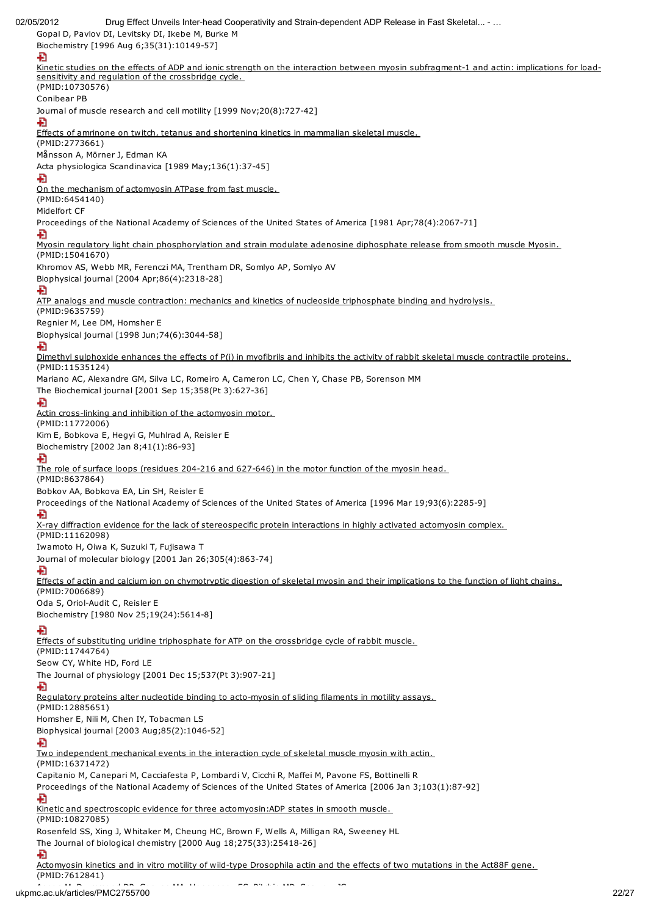| 02/05/2012                                     | Drug Effect Unveils Inter-head Cooperativity and Strain-dependent ADP Release in Fast Skeletal -<br>Gopal D, Pavlov DI, Levitsky DI, Ikebe M, Burke M                                                        |
|------------------------------------------------|--------------------------------------------------------------------------------------------------------------------------------------------------------------------------------------------------------------|
|                                                | Biochemistry [1996 Aug 6;35(31):10149-57]                                                                                                                                                                    |
| Đ                                              | Kinetic studies on the effects of ADP and ionic strength on the interaction between myosin subfragment-1 and actin: implications for load-<br>sensitivity and regulation of the crossbridge cycle.           |
| (PMID:10730576)<br>Conibear PB                 |                                                                                                                                                                                                              |
| Ð                                              | Journal of muscle research and cell motility [1999 Nov;20(8):727-42]                                                                                                                                         |
| (PMID:2773661)                                 | Effects of amrinone on twitch, tetanus and shortening kinetics in mammalian skeletal muscle.                                                                                                                 |
|                                                | Månsson A, Mörner J, Edman KA                                                                                                                                                                                |
|                                                | Acta physiologica Scandinavica [1989 May;136(1):37-45]                                                                                                                                                       |
| (PMID:6454140)<br>Midelfort CF                 | On the mechanism of actomyosin ATPase from fast muscle.                                                                                                                                                      |
|                                                | Proceedings of the National Academy of Sciences of the United States of America [1981 Apr;78(4):2067-71]                                                                                                     |
| Ð<br>(PMID:15041670)                           | Myosin regulatory light chain phosphorylation and strain modulate adenosine diphosphate release from smooth muscle Myosin.                                                                                   |
|                                                | Khromov AS, Webb MR, Ferenczi MA, Trentham DR, Somlyo AP, Somlyo AV<br>Biophysical journal [2004 Apr;86(4):2318-28]                                                                                          |
| Ð                                              | ATP analogs and muscle contraction: mechanics and kinetics of nucleoside triphosphate binding and hydrolysis.                                                                                                |
| (PMID:9635759)<br>Regnier M, Lee DM, Homsher E |                                                                                                                                                                                                              |
| Ð                                              | Biophysical journal [1998 Jun; 74(6): 3044-58]                                                                                                                                                               |
| (PMID:11535124)                                | Dimethyl sulphoxide enhances the effects of P(i) in myofibrils and inhibits the activity of rabbit skeletal muscle contractile proteins.                                                                     |
|                                                | Mariano AC, Alexandre GM, Silva LC, Romeiro A, Cameron LC, Chen Y, Chase PB, Sorenson MM<br>The Biochemical journal [2001 Sep 15;358(Pt 3):627-36]                                                           |
| Đ                                              | Actin cross-linking and inhibition of the actomyosin motor.                                                                                                                                                  |
| (PMID:11772006)                                | Kim E, Bobkova E, Hegyi G, Muhlrad A, Reisler E                                                                                                                                                              |
| Ð                                              | Biochemistry [2002 Jan 8;41(1):86-93]                                                                                                                                                                        |
| (PMID:8637864)                                 | The role of surface loops (residues 204-216 and 627-646) in the motor function of the myosin head.                                                                                                           |
|                                                | Bobkov AA, Bobkova EA, Lin SH, Reisler E<br>Proceedings of the National Academy of Sciences of the United States of America [1996 Mar 19;93(6):2285-9]                                                       |
| Ð                                              | X-ray diffraction evidence for the lack of stereospecific protein interactions in highly activated actomyosin complex.                                                                                       |
| (PMID:11162098)                                | Iwamoto H, Oiwa K, Suzuki T, Fujisawa T                                                                                                                                                                      |
| Ð                                              | Journal of molecular biology [2001 Jan 26;305(4):863-74]                                                                                                                                                     |
| (PMID:7006689)                                 | Effects of actin and calcium ion on chymotryptic digestion of skeletal myosin and their implications to the function of light chains.                                                                        |
| Oda S, Oriol-Audit C, Reisler E                |                                                                                                                                                                                                              |
|                                                | Biochemistry [1980 Nov 25;19(24):5614-8]                                                                                                                                                                     |
| Ð<br>(PMID:11744764)                           | Effects of substituting uridine triphosphate for ATP on the crossbridge cycle of rabbit muscle.                                                                                                              |
| Seow CY, White HD, Ford LE                     |                                                                                                                                                                                                              |
| Ð                                              | The Journal of physiology [2001 Dec 15;537(Pt 3):907-21]                                                                                                                                                     |
| (PMID:12885651)                                | Regulatory proteins alter nucleotide binding to acto-myosin of sliding filaments in motility assays.                                                                                                         |
|                                                | Homsher E, Nili M, Chen IY, Tobacman LS                                                                                                                                                                      |
| Ð                                              | Biophysical journal [2003 Aug;85(2):1046-52]                                                                                                                                                                 |
| (PMID:16371472)                                | Two independent mechanical events in the interaction cycle of skeletal muscle myosin with actin.                                                                                                             |
|                                                | Capitanio M, Canepari M, Cacciafesta P, Lombardi V, Cicchi R, Maffei M, Pavone FS, Bottinelli R<br>Proceedings of the National Academy of Sciences of the United States of America [2006 Jan 3;103(1):87-92] |
| Ð                                              |                                                                                                                                                                                                              |
| (PMID:10827085)                                | Kinetic and spectroscopic evidence for three actomyosin: ADP states in smooth muscle.                                                                                                                        |
|                                                | Rosenfeld SS, Xing J, Whitaker M, Cheung HC, Brown F, Wells A, Milligan RA, Sweeney HL<br>The Journal of biological chemistry [2000 Aug 18;275(33):25418-26]                                                 |
| Ð                                              | Actomyosin kinetics and in vitro motility of wild-type Drosophila actin and the effects of two mutations in the Act88F gene.                                                                                 |
| (PMID:7612841)                                 |                                                                                                                                                                                                              |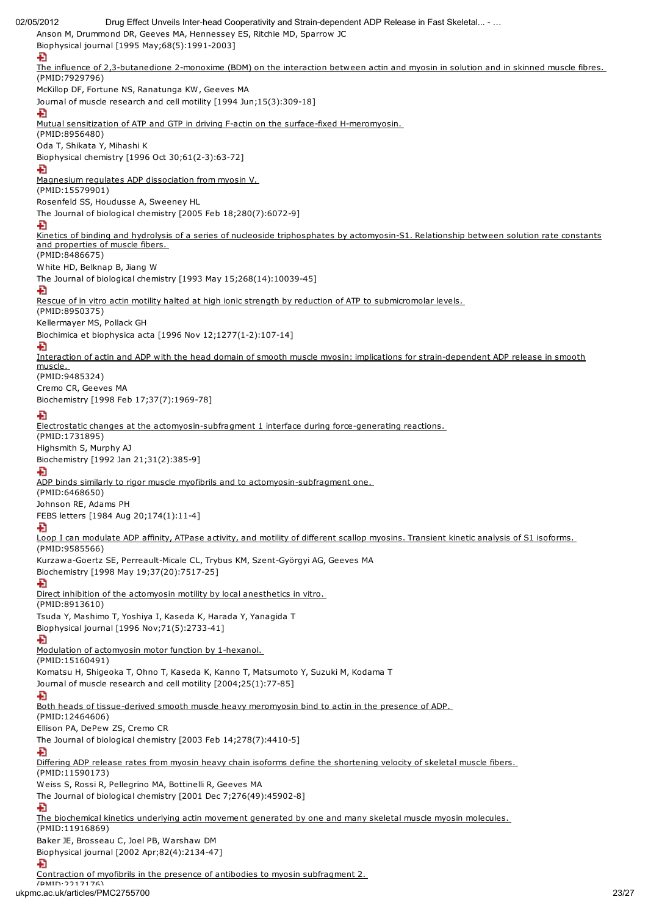| Ð                                                                                                                                                                                                                                                                                                                                                                                                                                                                                                                                                                                                                                                                                                                                                                                                                  |  |
|--------------------------------------------------------------------------------------------------------------------------------------------------------------------------------------------------------------------------------------------------------------------------------------------------------------------------------------------------------------------------------------------------------------------------------------------------------------------------------------------------------------------------------------------------------------------------------------------------------------------------------------------------------------------------------------------------------------------------------------------------------------------------------------------------------------------|--|
| The influence of 2,3-butanedione 2-monoxime (BDM) on the interaction between actin and myosin in solution and in skinned muscle fibres.                                                                                                                                                                                                                                                                                                                                                                                                                                                                                                                                                                                                                                                                            |  |
| (PMID:7929796)<br>McKillop DF, Fortune NS, Ranatunga KW, Geeves MA                                                                                                                                                                                                                                                                                                                                                                                                                                                                                                                                                                                                                                                                                                                                                 |  |
| Journal of muscle research and cell motility [1994 Jun;15(3):309-18]                                                                                                                                                                                                                                                                                                                                                                                                                                                                                                                                                                                                                                                                                                                                               |  |
| Ð                                                                                                                                                                                                                                                                                                                                                                                                                                                                                                                                                                                                                                                                                                                                                                                                                  |  |
| Mutual sensitization of ATP and GTP in driving F-actin on the surface-fixed H-meromyosin.                                                                                                                                                                                                                                                                                                                                                                                                                                                                                                                                                                                                                                                                                                                          |  |
| (PMID:8956480)                                                                                                                                                                                                                                                                                                                                                                                                                                                                                                                                                                                                                                                                                                                                                                                                     |  |
| Oda T, Shikata Y, Mihashi K                                                                                                                                                                                                                                                                                                                                                                                                                                                                                                                                                                                                                                                                                                                                                                                        |  |
| Biophysical chemistry [1996 Oct 30;61(2-3):63-72]                                                                                                                                                                                                                                                                                                                                                                                                                                                                                                                                                                                                                                                                                                                                                                  |  |
| Ð                                                                                                                                                                                                                                                                                                                                                                                                                                                                                                                                                                                                                                                                                                                                                                                                                  |  |
| Magnesium regulates ADP dissociation from myosin V.                                                                                                                                                                                                                                                                                                                                                                                                                                                                                                                                                                                                                                                                                                                                                                |  |
| (PMID:15579901)                                                                                                                                                                                                                                                                                                                                                                                                                                                                                                                                                                                                                                                                                                                                                                                                    |  |
| Rosenfeld SS, Houdusse A, Sweeney HL                                                                                                                                                                                                                                                                                                                                                                                                                                                                                                                                                                                                                                                                                                                                                                               |  |
| The Journal of biological chemistry $[2005$ Feb $18;280(7):6072-9]$                                                                                                                                                                                                                                                                                                                                                                                                                                                                                                                                                                                                                                                                                                                                                |  |
| Ð                                                                                                                                                                                                                                                                                                                                                                                                                                                                                                                                                                                                                                                                                                                                                                                                                  |  |
| Kinetics of binding and hydrolysis of a series of nucleoside triphosphates by actomyosin-S1. Relationship between solution rate constants                                                                                                                                                                                                                                                                                                                                                                                                                                                                                                                                                                                                                                                                          |  |
| and properties of muscle fibers.<br>(PMID:8486675)                                                                                                                                                                                                                                                                                                                                                                                                                                                                                                                                                                                                                                                                                                                                                                 |  |
| White HD, Belknap B, Jiang W                                                                                                                                                                                                                                                                                                                                                                                                                                                                                                                                                                                                                                                                                                                                                                                       |  |
| The Journal of biological chemistry [1993 May $15;268(14):10039-45$ ]                                                                                                                                                                                                                                                                                                                                                                                                                                                                                                                                                                                                                                                                                                                                              |  |
| Ð                                                                                                                                                                                                                                                                                                                                                                                                                                                                                                                                                                                                                                                                                                                                                                                                                  |  |
| Rescue of in vitro actin motility halted at high ionic strength by reduction of ATP to submicromolar levels.                                                                                                                                                                                                                                                                                                                                                                                                                                                                                                                                                                                                                                                                                                       |  |
| (PMID:8950375)                                                                                                                                                                                                                                                                                                                                                                                                                                                                                                                                                                                                                                                                                                                                                                                                     |  |
| Kellermayer MS, Pollack GH                                                                                                                                                                                                                                                                                                                                                                                                                                                                                                                                                                                                                                                                                                                                                                                         |  |
| Biochimica et biophysica acta [1996 Nov 12;1277(1-2):107-14]                                                                                                                                                                                                                                                                                                                                                                                                                                                                                                                                                                                                                                                                                                                                                       |  |
| Ð                                                                                                                                                                                                                                                                                                                                                                                                                                                                                                                                                                                                                                                                                                                                                                                                                  |  |
| Interaction of actin and ADP with the head domain of smooth muscle myosin: implications for strain-dependent ADP release in smooth                                                                                                                                                                                                                                                                                                                                                                                                                                                                                                                                                                                                                                                                                 |  |
| muscle.                                                                                                                                                                                                                                                                                                                                                                                                                                                                                                                                                                                                                                                                                                                                                                                                            |  |
| (PMID:9485324)                                                                                                                                                                                                                                                                                                                                                                                                                                                                                                                                                                                                                                                                                                                                                                                                     |  |
| Cremo CR, Geeves MA                                                                                                                                                                                                                                                                                                                                                                                                                                                                                                                                                                                                                                                                                                                                                                                                |  |
| Biochemistry [1998 Feb 17;37(7):1969-78]                                                                                                                                                                                                                                                                                                                                                                                                                                                                                                                                                                                                                                                                                                                                                                           |  |
| Ð                                                                                                                                                                                                                                                                                                                                                                                                                                                                                                                                                                                                                                                                                                                                                                                                                  |  |
| Electrostatic changes at the actomyosin-subfragment 1 interface during force-generating reactions.                                                                                                                                                                                                                                                                                                                                                                                                                                                                                                                                                                                                                                                                                                                 |  |
| (PMID:1731895)                                                                                                                                                                                                                                                                                                                                                                                                                                                                                                                                                                                                                                                                                                                                                                                                     |  |
| Highsmith S, Murphy AJ                                                                                                                                                                                                                                                                                                                                                                                                                                                                                                                                                                                                                                                                                                                                                                                             |  |
| Biochemistry [1992 Jan 21;31(2):385-9]                                                                                                                                                                                                                                                                                                                                                                                                                                                                                                                                                                                                                                                                                                                                                                             |  |
| Ð                                                                                                                                                                                                                                                                                                                                                                                                                                                                                                                                                                                                                                                                                                                                                                                                                  |  |
| ADP binds similarly to rigor muscle myofibrils and to actomyosin-subfragment one.<br>(PMID:6468650)                                                                                                                                                                                                                                                                                                                                                                                                                                                                                                                                                                                                                                                                                                                |  |
| Johnson RE, Adams PH                                                                                                                                                                                                                                                                                                                                                                                                                                                                                                                                                                                                                                                                                                                                                                                               |  |
| FEBS letters [1984 Aug 20;174(1):11-4]                                                                                                                                                                                                                                                                                                                                                                                                                                                                                                                                                                                                                                                                                                                                                                             |  |
| Ð                                                                                                                                                                                                                                                                                                                                                                                                                                                                                                                                                                                                                                                                                                                                                                                                                  |  |
| Loop I can modulate ADP affinity, ATPase activity, and motility of different scallop myosins. Transient kinetic analysis of S1 isoforms.                                                                                                                                                                                                                                                                                                                                                                                                                                                                                                                                                                                                                                                                           |  |
| (PMID:9585566)                                                                                                                                                                                                                                                                                                                                                                                                                                                                                                                                                                                                                                                                                                                                                                                                     |  |
| Kurzawa-Goertz SE, Perreault-Micale CL, Trybus KM, Szent-Györgyi AG, Geeves MA                                                                                                                                                                                                                                                                                                                                                                                                                                                                                                                                                                                                                                                                                                                                     |  |
| Biochemistry [1998 May 19;37(20):7517-25]                                                                                                                                                                                                                                                                                                                                                                                                                                                                                                                                                                                                                                                                                                                                                                          |  |
| Ð                                                                                                                                                                                                                                                                                                                                                                                                                                                                                                                                                                                                                                                                                                                                                                                                                  |  |
| Direct inhibition of the actomyosin motility by local anesthetics in vitro.                                                                                                                                                                                                                                                                                                                                                                                                                                                                                                                                                                                                                                                                                                                                        |  |
| (PMID:8913610)                                                                                                                                                                                                                                                                                                                                                                                                                                                                                                                                                                                                                                                                                                                                                                                                     |  |
| Tsuda Y, Mashimo T, Yoshiya I, Kaseda K, Harada Y, Yanagida T                                                                                                                                                                                                                                                                                                                                                                                                                                                                                                                                                                                                                                                                                                                                                      |  |
| Biophysical journal [1996 Nov; 71(5): 2733-41]                                                                                                                                                                                                                                                                                                                                                                                                                                                                                                                                                                                                                                                                                                                                                                     |  |
| Ð                                                                                                                                                                                                                                                                                                                                                                                                                                                                                                                                                                                                                                                                                                                                                                                                                  |  |
| Modulation of actomyosin motor function by 1-hexanol.                                                                                                                                                                                                                                                                                                                                                                                                                                                                                                                                                                                                                                                                                                                                                              |  |
| (PMID:15160491)                                                                                                                                                                                                                                                                                                                                                                                                                                                                                                                                                                                                                                                                                                                                                                                                    |  |
|                                                                                                                                                                                                                                                                                                                                                                                                                                                                                                                                                                                                                                                                                                                                                                                                                    |  |
|                                                                                                                                                                                                                                                                                                                                                                                                                                                                                                                                                                                                                                                                                                                                                                                                                    |  |
|                                                                                                                                                                                                                                                                                                                                                                                                                                                                                                                                                                                                                                                                                                                                                                                                                    |  |
|                                                                                                                                                                                                                                                                                                                                                                                                                                                                                                                                                                                                                                                                                                                                                                                                                    |  |
|                                                                                                                                                                                                                                                                                                                                                                                                                                                                                                                                                                                                                                                                                                                                                                                                                    |  |
|                                                                                                                                                                                                                                                                                                                                                                                                                                                                                                                                                                                                                                                                                                                                                                                                                    |  |
|                                                                                                                                                                                                                                                                                                                                                                                                                                                                                                                                                                                                                                                                                                                                                                                                                    |  |
|                                                                                                                                                                                                                                                                                                                                                                                                                                                                                                                                                                                                                                                                                                                                                                                                                    |  |
|                                                                                                                                                                                                                                                                                                                                                                                                                                                                                                                                                                                                                                                                                                                                                                                                                    |  |
|                                                                                                                                                                                                                                                                                                                                                                                                                                                                                                                                                                                                                                                                                                                                                                                                                    |  |
|                                                                                                                                                                                                                                                                                                                                                                                                                                                                                                                                                                                                                                                                                                                                                                                                                    |  |
|                                                                                                                                                                                                                                                                                                                                                                                                                                                                                                                                                                                                                                                                                                                                                                                                                    |  |
|                                                                                                                                                                                                                                                                                                                                                                                                                                                                                                                                                                                                                                                                                                                                                                                                                    |  |
|                                                                                                                                                                                                                                                                                                                                                                                                                                                                                                                                                                                                                                                                                                                                                                                                                    |  |
| Komatsu H, Shigeoka T, Ohno T, Kaseda K, Kanno T, Matsumoto Y, Suzuki M, Kodama T<br>Journal of muscle research and cell motility [2004;25(1):77-85]<br>Ð<br>Both heads of tissue-derived smooth muscle heavy meromyosin bind to actin in the presence of ADP.<br>(PMID:12464606)<br>Ellison PA, DePew ZS, Cremo CR<br>The Journal of biological chemistry [2003 Feb 14;278(7):4410-5]<br>Ð<br>Differing ADP release rates from myosin heavy chain isoforms define the shortening velocity of skeletal muscle fibers.<br>(PMID:11590173)<br>Weiss S, Rossi R, Pellegrino MA, Bottinelli R, Geeves MA<br>The Journal of biological chemistry [2001 Dec 7;276(49):45902-8]<br>Ð<br>The biochemical kinetics underlying actin movement generated by one and many skeletal muscle myosin molecules.<br>(PMID:11916869) |  |
| Baker JE, Brosseau C, Joel PB, Warshaw DM                                                                                                                                                                                                                                                                                                                                                                                                                                                                                                                                                                                                                                                                                                                                                                          |  |
| Biophysical journal [2002 Apr;82(4):2134-47]                                                                                                                                                                                                                                                                                                                                                                                                                                                                                                                                                                                                                                                                                                                                                                       |  |
| Ð<br>Contraction of myofibrils in the presence of antibodies to myosin subfragment 2.                                                                                                                                                                                                                                                                                                                                                                                                                                                                                                                                                                                                                                                                                                                              |  |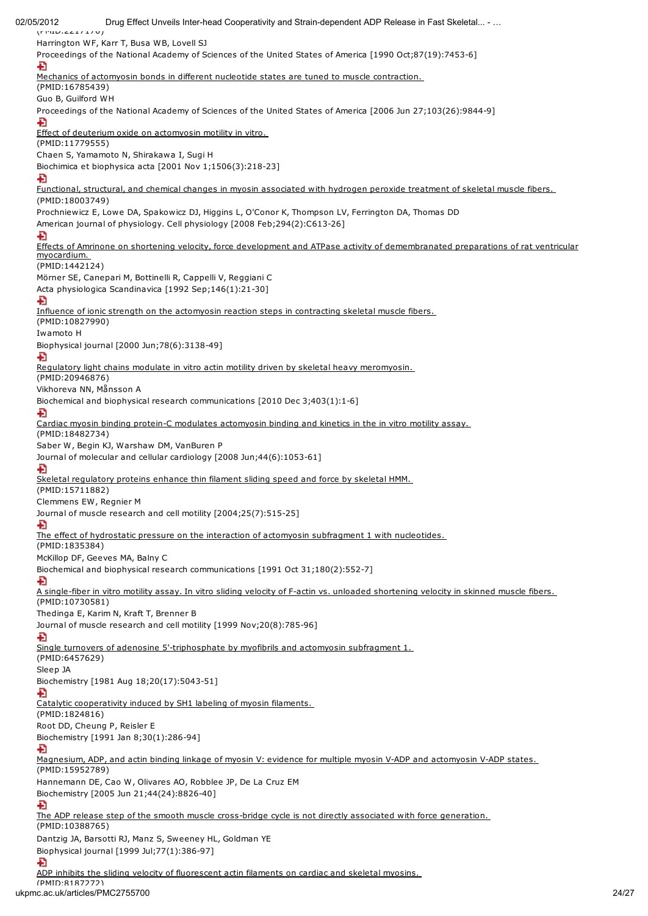| 02/05/2012              | Drug Effect Unveils Inter-head Cooperativity and Strain-dependent ADP Release in Fast Skeletal -                                        |
|-------------------------|-----------------------------------------------------------------------------------------------------------------------------------------|
| (TTHU.ZZII/IU)          | Harrington WF, Karr T, Busa WB, Lovell SJ                                                                                               |
|                         | Proceedings of the National Academy of Sciences of the United States of America [1990 Oct;87(19):7453-6]                                |
| Ð                       |                                                                                                                                         |
|                         | Mechanics of actomyosin bonds in different nucleotide states are tuned to muscle contraction.                                           |
| (PMID:16785439)         |                                                                                                                                         |
| Guo B, Guilford WH      | Proceedings of the National Academy of Sciences of the United States of America [2006 Jun 27;103(26):9844-9]                            |
| Ð                       |                                                                                                                                         |
|                         | Effect of deuterium oxide on actomyosin motility in vitro.                                                                              |
| (PMID:11779555)         |                                                                                                                                         |
|                         | Chaen S, Yamamoto N, Shirakawa I, Sugi H                                                                                                |
|                         | Biochimica et biophysica acta [2001 Nov 1;1506(3):218-23]                                                                               |
| Đ                       | Functional, structural, and chemical changes in myosin associated with hydrogen peroxide treatment of skeletal muscle fibers.           |
| (PMID:18003749)         |                                                                                                                                         |
|                         | Prochniewicz E, Lowe DA, Spakowicz DJ, Higgins L, O'Conor K, Thompson LV, Ferrington DA, Thomas DD                                      |
|                         | American journal of physiology. Cell physiology [2008 Feb; 294(2): C613-26]                                                             |
| Ð                       |                                                                                                                                         |
| myocardium.             | Effects of Amrinone on shortening velocity, force development and ATPase activity of demembranated preparations of rat ventricular      |
| (PMID:1442124)          |                                                                                                                                         |
|                         | Mörner SE, Canepari M, Bottinelli R, Cappelli V, Reggiani C                                                                             |
|                         | Acta physiologica Scandinavica [1992 Sep;146(1):21-30]                                                                                  |
| Ð                       |                                                                                                                                         |
| (PMID:10827990)         | Influence of ionic strength on the actomyosin reaction steps in contracting skeletal muscle fibers.                                     |
| Iwamoto H               |                                                                                                                                         |
|                         | Biophysical journal [2000 Jun; 78(6): 3138-49]                                                                                          |
| Ð                       |                                                                                                                                         |
|                         | Regulatory light chains modulate in vitro actin motility driven by skeletal heavy meromyosin.                                           |
| (PMID:20946876)         |                                                                                                                                         |
| Vikhoreva NN, Månsson A | Biochemical and biophysical research communications [2010 Dec 3;403(1):1-6]                                                             |
| Ð                       |                                                                                                                                         |
|                         | Cardiac myosin binding protein-C modulates actomyosin binding and kinetics in the in vitro motility assay.                              |
| (PMID:18482734)         |                                                                                                                                         |
|                         | Saber W, Begin KJ, Warshaw DM, VanBuren P                                                                                               |
|                         | Journal of molecular and cellular cardiology [2008 Jun;44(6):1053-61]                                                                   |
| Ð                       | Skeletal regulatory proteins enhance thin filament sliding speed and force by skeletal HMM.                                             |
| (PMID:15711882)         |                                                                                                                                         |
| Clemmens EW, Regnier M  |                                                                                                                                         |
|                         | Journal of muscle research and cell motility [2004;25(7):515-25]                                                                        |
| Ð                       |                                                                                                                                         |
| (PMID:1835384)          | The effect of hydrostatic pressure on the interaction of actomyosin subfragment 1 with nucleotides.                                     |
|                         | McKillop DF, Geeves MA, Balny C                                                                                                         |
|                         | Biochemical and biophysical research communications [1991 Oct 31;180(2):552-7]                                                          |
| Ð                       |                                                                                                                                         |
|                         | A single-fiber in vitro motility assay. In vitro sliding velocity of F-actin vs. unloaded shortening velocity in skinned muscle fibers. |
| (PMID:10730581)         | Thedinga E, Karim N, Kraft T, Brenner B                                                                                                 |
|                         | Journal of muscle research and cell motility [1999 Nov;20(8):785-96]                                                                    |
| Ð                       |                                                                                                                                         |
|                         | Single turnovers of adenosine 5'-triphosphate by myofibrils and actomyosin subfragment 1.                                               |
| (PMID:6457629)          |                                                                                                                                         |
| Sleep JA                |                                                                                                                                         |
| Đ                       | Biochemistry [1981 Aug 18;20(17):5043-51]                                                                                               |
|                         | Catalytic cooperativity induced by SH1 labeling of myosin filaments.                                                                    |
| (PMID:1824816)          |                                                                                                                                         |
|                         | Root DD, Cheung P, Reisler E                                                                                                            |
|                         | Biochemistry [1991 Jan 8;30(1):286-94]                                                                                                  |
| Ð                       | Magnesium, ADP, and actin binding linkage of myosin V: evidence for multiple myosin V-ADP and actomyosin V-ADP states.                  |
| (PMID:15952789)         |                                                                                                                                         |
|                         | Hannemann DE, Cao W, Olivares AO, Robblee JP, De La Cruz EM                                                                             |
|                         | Biochemistry [2005 Jun 21;44(24):8826-40]                                                                                               |
| Ð                       |                                                                                                                                         |
|                         | The ADP release step of the smooth muscle cross-bridge cycle is not directly associated with force generation.                          |
| (PMID:10388765)         |                                                                                                                                         |
|                         | Dantzig JA, Barsotti RJ, Manz S, Sweeney HL, Goldman YE                                                                                 |
| Ð                       | Biophysical journal [1999 Jul; 77(1): 386-97]                                                                                           |
|                         | ADP inhibits the sliding velocity of fluorescent actin filaments on cardiac and skeletal myosins.                                       |
| (PMID:8187272)          |                                                                                                                                         |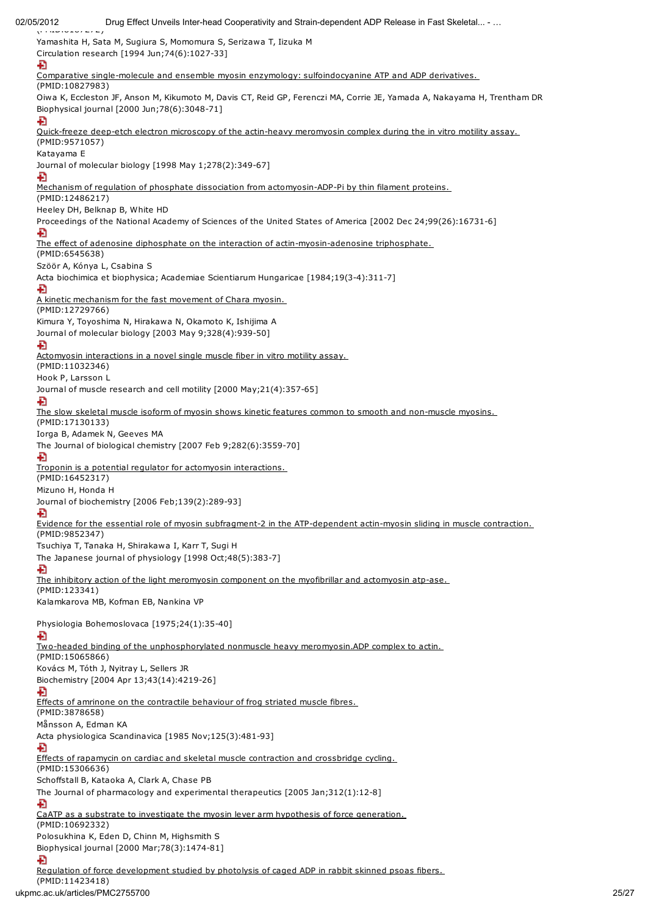| 02/05/2012                           | Drug Effect Unveils Inter-head Cooperativity and Strain-dependent ADP Release in Fast Skeletal -                                                                          |
|--------------------------------------|---------------------------------------------------------------------------------------------------------------------------------------------------------------------------|
|                                      | Yamashita H, Sata M, Sugiura S, Momomura S, Serizawa T, Iizuka M<br>Circulation research [1994 Jun; 74(6): 1027-33]                                                       |
| Đ<br>(PMID:10827983)                 | Comparative single-molecule and ensemble myosin enzymology: sulfoindocyanine ATP and ADP derivatives.                                                                     |
|                                      | Oiwa K, Eccleston JF, Anson M, Kikumoto M, Davis CT, Reid GP, Ferenczi MA, Corrie JE, Yamada A, Nakayama H, Trentham DR<br>Biophysical journal [2000 Jun; 78(6): 3048-71] |
| Ð<br>(PMID:9571057)                  | Quick-freeze deep-etch electron microscopy of the actin-heavy meromyosin complex during the in vitro motility assay.                                                      |
| Katayama E                           | Journal of molecular biology [1998 May 1;278(2):349-67]                                                                                                                   |
| Ð                                    |                                                                                                                                                                           |
| (PMID:12486217)                      | Mechanism of regulation of phosphate dissociation from actomyosin-ADP-Pi by thin filament proteins.                                                                       |
|                                      | Heeley DH, Belknap B, White HD                                                                                                                                            |
| Ð                                    | Proceedings of the National Academy of Sciences of the United States of America [2002 Dec 24;99(26):16731-6]                                                              |
| (PMID:6545638)                       | The effect of adenosine diphosphate on the interaction of actin-myosin-adenosine triphosphate.                                                                            |
|                                      | Szöör A, Kónya L, Csabina S<br>Acta biochimica et biophysica; Academiae Scientiarum Hungaricae [1984;19(3-4):311-7]                                                       |
| Ð                                    |                                                                                                                                                                           |
| (PMID:12729766)                      | A kinetic mechanism for the fast movement of Chara myosin.                                                                                                                |
|                                      | Kimura Y, Toyoshima N, Hirakawa N, Okamoto K, Ishijima A                                                                                                                  |
| Ð                                    | Journal of molecular biology [2003 May 9;328(4):939-50]                                                                                                                   |
|                                      | Actomyosin interactions in a novel single muscle fiber in vitro motility assay.                                                                                           |
| (PMID:11032346)<br>Hook P, Larsson L |                                                                                                                                                                           |
|                                      | Journal of muscle research and cell motility [2000 May;21(4):357-65]                                                                                                      |
| Ð                                    | The slow skeletal muscle isoform of myosin shows kinetic features common to smooth and non-muscle myosins.                                                                |
| (PMID:17130133)                      |                                                                                                                                                                           |
|                                      | Iorga B, Adamek N, Geeves MA                                                                                                                                              |
| Ð                                    | The Journal of biological chemistry [2007 Feb 9;282(6):3559-70]                                                                                                           |
| (PMID:16452317)                      | Troponin is a potential regulator for actomyosin interactions.                                                                                                            |
| Mizuno H, Honda H                    |                                                                                                                                                                           |
| Ð                                    | Journal of biochemistry [2006 Feb;139(2):289-93]                                                                                                                          |
| (PMID:9852347)                       | Evidence for the essential role of myosin subfragment-2 in the ATP-dependent actin-myosin sliding in muscle contraction.                                                  |
|                                      | Tsuchiya T, Tanaka H, Shirakawa I, Karr T, Sugi H<br>The Japanese journal of physiology [1998 Oct;48(5):383-7]                                                            |
| Ð                                    |                                                                                                                                                                           |
| (PMID:123341)                        | The inhibitory action of the light meromyosin component on the myofibrillar and actomyosin atp-ase.                                                                       |
|                                      | Kalamkarova MB, Kofman EB, Nankina VP                                                                                                                                     |
|                                      | Physiologia Bohemoslovaca [1975;24(1):35-40]                                                                                                                              |
| Ð                                    |                                                                                                                                                                           |
| (PMID:15065866)                      | Two-headed binding of the unphosphorylated nonmuscle heavy meromyosin.ADP complex to actin.                                                                               |
|                                      | Kovács M, Tóth J, Nyitray L, Sellers JR                                                                                                                                   |
| Ð                                    | Biochemistry [2004 Apr 13;43(14):4219-26]                                                                                                                                 |
|                                      | Effects of amrinone on the contractile behaviour of frog striated muscle fibres.                                                                                          |
| (PMID:3878658)                       | Månsson A, Edman KA                                                                                                                                                       |
|                                      | Acta physiologica Scandinavica [1985 Nov;125(3):481-93]                                                                                                                   |
| Ð                                    |                                                                                                                                                                           |
| (PMID:15306636)                      | Effects of rapamycin on cardiac and skeletal muscle contraction and crossbridge cycling.                                                                                  |
|                                      | Schoffstall B, Kataoka A, Clark A, Chase PB                                                                                                                               |
| Ð                                    | The Journal of pharmacology and experimental therapeutics [2005 Jan;312(1):12-8]                                                                                          |
|                                      | CaATP as a substrate to investigate the myosin lever arm hypothesis of force generation.                                                                                  |
| (PMID:10692332)                      | Polosukhina K, Eden D, Chinn M, Highsmith S                                                                                                                               |
|                                      | Biophysical journal [2000 Mar; 78(3): 1474-81]                                                                                                                            |
| Ð                                    | Regulation of force development studied by photolysis of caged ADP in rabbit skinned psoas fibers.                                                                        |
| (PMID:11423418)                      |                                                                                                                                                                           |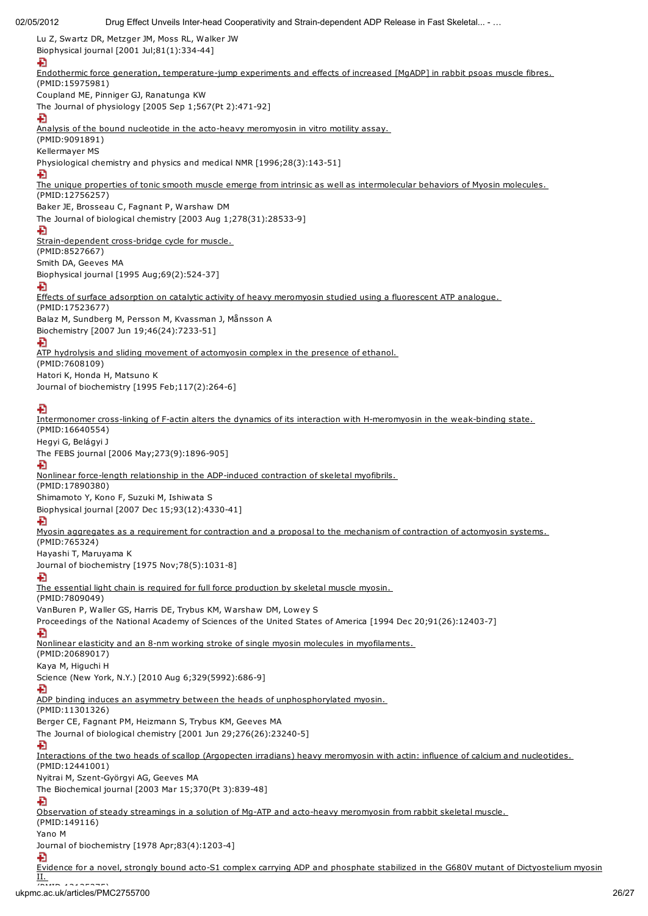Lu Z, Swartz DR, Metzger JM, Moss RL, Walker JW Biophysical journal [2001 Jul;81(1):334-44] Ð Endothermic force generation, temperature-jump experiments and effects of increased [MgADP] in rabbit psoas muscle fibres. (PMID:15975981) Coupland ME, Pinniger GJ, Ranatunga KW The Journal of physiology [2005 Sep 1;567(Pt 2):471-92] Ð Analysis of the bound nucleotide in the acto-heavy meromyosin in vitro motility assay. (PMID:9091891) Kellermayer MS Physiological chemistry and physics and medical NMR [1996;28(3):143-51] Ð The unique properties of tonic smooth muscle emerge from intrinsic as well as intermolecular behaviors of Myosin molecules. (PMID:12756257) Baker JE, Brosseau C, Fagnant P, Warshaw DM The Journal of biological chemistry [2003 Aug 1;278(31):28533-9] Ð Strain-dependent cross-bridge cycle for muscle. (PMID:8527667) Smith DA, Geeves MA Biophysical journal [1995 Aug;69(2):524-37] Ð Effects of surface adsorption on catalytic activity of heavy meromyosin studied using a fluorescent ATP analogue. (PMID:17523677) Balaz M, Sundberg M, Persson M, Kvassman J, Månsson A Biochemistry [2007 Jun 19;46(24):7233-51] ₽ ATP hydrolysis and sliding movement of actomyosin complex in the presence of ethanol. (PMID:7608109) Hatori K, Honda H, Matsuno K Journal of biochemistry [1995 Feb;117(2):264-6] Ð Intermonomer cross-linking of F-actin alters the dynamics of its interaction with H-meromyosin in the weak-binding state. (PMID:16640554) Hegyi G, Belágyi J The FEBS journal [2006 May;273(9):1896-905] Ð Nonlinear force-length relationship in the ADP-induced contraction of skeletal myofibrils. (PMID:17890380) Shimamoto Y, Kono F, Suzuki M, Ishiwata S Biophysical journal [2007 Dec 15;93(12):4330-41] Ð Myosin aggregates as a requirement for contraction and a proposal to the mechanism of contraction of actomyosin systems. (PMID:765324) Hayashi T, Maruyama K Journal of biochemistry [1975 Nov;78(5):1031-8] Ð The essential light chain is required for full force production by skeletal muscle myosin. (PMID:7809049) VanBuren P, Waller GS, Harris DE, Trybus KM, Warshaw DM, Lowey S Proceedings of the National Academy of Sciences of the United States of America [1994 Dec 20;91(26):12403-7] Ð Nonlinear elasticity and an 8-nm working stroke of single myosin molecules in myofilaments. (PMID:20689017) Kaya M, Higuchi H Science (New York, N.Y.) [2010 Aug 6;329(5992):686-9] Ð ADP binding induces an asymmetry between the heads of unphosphorylated myosin. (PMID:11301326) Berger CE, Fagnant PM, Heizmann S, Trybus KM, Geeves MA The Journal of biological chemistry [2001 Jun 29;276(26):23240-5] Ð Interactions of the two heads of scallop (Argopecten irradians) heavy meromyosin with actin: influence of calcium and nucleotides. (PMID:12441001) Nyitrai M, Szent-Györgyi AG, Geeves MA The Biochemical journal [2003 Mar 15;370(Pt 3):839-48] Ð Observation of steady streamings in a solution of Mg-ATP and acto-heavy meromyosin from rabbit skeletal muscle. (PMID:149116) Yano M Journal of biochemistry [1978 Apr;83(4):1203-4] Ð Evidence for a novel, strongly bound acto-S1 complex carrying ADP and phosphate stabilized in the G680V mutant of Dictyostelium myosin  $\frac{\text{II}}{\text{II}}$ .

02/05/2012 Drug Effect Unveils Inter-head Cooperativity and Strain-dependent ADP Release in Fast Skeletal... - ...